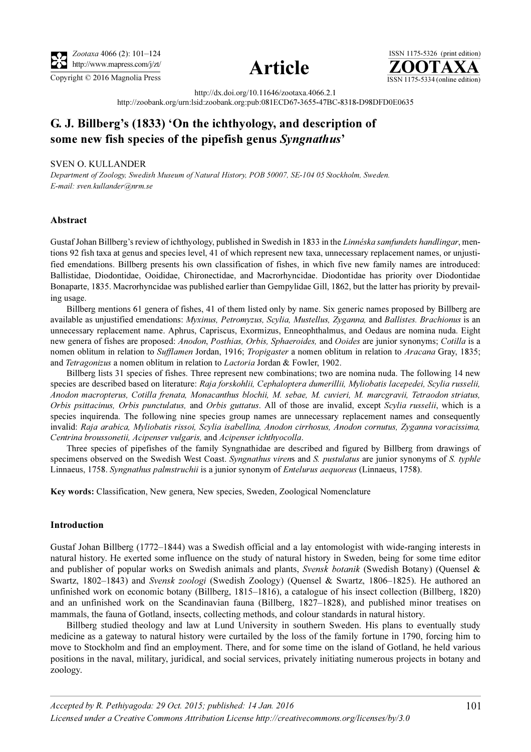





http://dx.doi.org/10.11646/zootaxa.4066.2.1

http://zoobank.org/urn:lsid:zoobank.org:pub:081ECD67-3655-47BC-8318-D98DFD0E0635

# G. J. Billberg's (1833) 'On the ichthyology, and description of some new fish species of the pipefish genus Syngnathus'

## SVEN O. KULLANDER

Department of Zoology, Swedish Museum of Natural History, POB 50007, SE-104 05 Stockholm, Sweden. E-mail: sven.kullander@nrm.se

## Abstract

Gustaf Johan Billberg's review of ichthyology, published in Swedish in 1833 in the Linnéska samfundets handlingar, mentions 92 fish taxa at genus and species level, 41 of which represent new taxa, unnecessary replacement names, or unjustified emendations. Billberg presents his own classification of fishes, in which five new family names are introduced: Ballistidae, Diodontidae, Ooididae, Chironectidae, and Macrorhyncidae. Diodontidae has priority over Diodontidae Bonaparte, 1835. Macrorhyncidae was published earlier than Gempylidae Gill, 1862, but the latter has priority by prevailing usage.

Billberg mentions 61 genera of fishes, 41 of them listed only by name. Six generic names proposed by Billberg are available as unjustified emendations: *Myxinus, Petromyzus, Scylia, Mustellus, Zyganna, and Ballistes. Brachionus* is an unnecessary replacement name. Aphrus, Capriscus, Exormizus, Enneophthalmus, and Oedaus are nomina nuda. Eight new genera of fishes are proposed: Anodon, Posthias, Orbis, Sphaeroides, and Ooides are junior synonyms; Cotilla is a nomen oblitum in relation to Sufflamen Jordan, 1916; Tropigaster a nomen oblitum in relation to Aracana Gray, 1835; and Tetragonizus a nomen oblitum in relation to Lactoria Jordan & Fowler, 1902.

Billberg lists 31 species of fishes. Three represent new combinations; two are nomina nuda. The following 14 new species are described based on literature: Raja forskohlii, Cephaloptera dumerillii, Myliobatis lacepedei, Scylia russelii, Anodon macropterus, Cotilla frenata, Monacanthus blochii, M. sebae, M. cuvieri, M. marcgravii, Tetraodon striatus, Orbis psittacinus, Orbis punctulatus, and Orbis guttatus. All of those are invalid, except Scylia russelii, which is a species inquirenda. The following nine species group names are unnecessary replacement names and consequently invalid: Raja arabica, Myliobatis rissoi, Scylia isabellina, Anodon cirrhosus, Anodon cornutus, Zyganna voracissima, Centrina broussonetii, Acipenser vulgaris, and Acipenser ichthyocolla.

Three species of pipefishes of the family Syngnathidae are described and figured by Billberg from drawings of specimens observed on the Swedish West Coast. Syngnathus virens and S. pustulatus are junior synonyms of S. typhle Linnaeus, 1758. Syngnathus palmstruchii is a junior synonym of Entelurus aequoreus (Linnaeus, 1758).

Key words: Classification, New genera, New species, Sweden, Zoological Nomenclature

## Introduction

Gustaf Johan Billberg (1772–1844) was a Swedish official and a lay entomologist with wide-ranging interests in natural history. He exerted some influence on the study of natural history in Sweden, being for some time editor and publisher of popular works on Swedish animals and plants, Svensk botanik (Swedish Botany) (Quensel & Swartz, 1802–1843) and Svensk zoologi (Swedish Zoology) (Quensel & Swartz, 1806–1825). He authored an unfinished work on economic botany (Billberg, 1815–1816), a catalogue of his insect collection (Billberg, 1820) and an unfinished work on the Scandinavian fauna (Billberg, 1827–1828), and published minor treatises on mammals, the fauna of Gotland, insects, collecting methods, and colour standards in natural history.

Billberg studied theology and law at Lund University in southern Sweden. His plans to eventually study medicine as a gateway to natural history were curtailed by the loss of the family fortune in 1790, forcing him to move to Stockholm and find an employment. There, and for some time on the island of Gotland, he held various positions in the naval, military, juridical, and social services, privately initiating numerous projects in botany and zoology.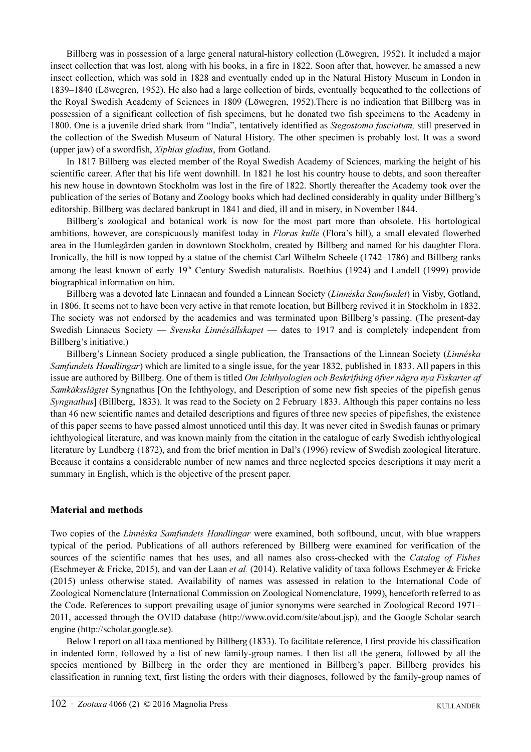Billberg was in possession of a large general natural-history collection (Löwegren, 1952). It included a major insect collection that was lost, along with his books, in a fire in 1822. Soon after that, however, he amassed a new insect collection, which was sold in 1828 and eventually ended up in the Natural History Museum in London in 1839–1840 (Löwegren, 1952). He also had a large collection of birds, eventually bequeathed to the collections of the Royal Swedish Academy of Sciences in 1809 (Löwegren, 1952).There is no indication that Billberg was in possession of a significant collection of fish specimens, but he donated two fish specimens to the Academy in 1800. One is a juvenile dried shark from "India", tentatively identified as Stegostoma fasciatum, still preserved in the collection of the Swedish Museum of Natural History. The other specimen is probably lost. It was a sword (upper jaw) of a swordfish, Xiphias gladius, from Gotland.

In 1817 Billberg was elected member of the Royal Swedish Academy of Sciences, marking the height of his scientific career. After that his life went downhill. In 1821 he lost his country house to debts, and soon thereafter his new house in downtown Stockholm was lost in the fire of 1822. Shortly thereafter the Academy took over the publication of the series of Botany and Zoology books which had declined considerably in quality under Billberg's editorship. Billberg was declared bankrupt in 1841 and died, ill and in misery, in November 1844.

Billberg's zoological and botanical work is now for the most part more than obsolete. His hortological ambitions, however, are conspicuously manifest today in Floras kulle (Flora's hill), a small elevated flowerbed area in the Humlegården garden in downtown Stockholm, created by Billberg and named for his daughter Flora. Ironically, the hill is now topped by a statue of the chemist Carl Wilhelm Scheele (1742–1786) and Billberg ranks among the least known of early 19<sup>th</sup> Century Swedish naturalists. Boethius (1924) and Landell (1999) provide biographical information on him.

Billberg was a devoted late Linnaean and founded a Linnean Society (Linnéska Samfundet) in Visby, Gotland, in 1806. It seems not to have been very active in that remote location, but Billberg revived it in Stockholm in 1832. The society was not endorsed by the academics and was terminated upon Billberg's passing. (The present-day Swedish Linnaeus Society — Svenska Linnésällskapet — dates to 1917 and is completely independent from Billberg's initiative.)

Billberg's Linnean Society produced a single publication, the Transactions of the Linnean Society (Linnéska Samfundets Handlingar) which are limited to a single issue, for the year 1832, published in 1833. All papers in this issue are authored by Billberg. One of them is titled *Om Ichthyologien och Beskrifning öfver några nya Fiskarter af* Samkäksslägtet Syngnathus [On the Ichthyology, and Description of some new fish species of the pipefish genus Syngnathus] (Billberg, 1833). It was read to the Society on 2 February 1833. Although this paper contains no less than 46 new scientific names and detailed descriptions and figures of three new species of pipefishes, the existence of this paper seems to have passed almost unnoticed until this day. It was never cited in Swedish faunas or primary ichthyological literature, and was known mainly from the citation in the catalogue of early Swedish ichthyological literature by Lundberg (1872), and from the brief mention in Dal's (1996) review of Swedish zoological literature. Because it contains a considerable number of new names and three neglected species descriptions it may merit a summary in English, which is the objective of the present paper.

# Material and methods

Two copies of the *Linnéska Samfundets Handlingar* were examined, both softbound, uncut, with blue wrappers typical of the period. Publications of all authors referenced by Billberg were examined for verification of the sources of the scientific names that hes uses, and all names also cross-checked with the Catalog of Fishes (Eschmeyer & Fricke, 2015), and van der Laan *et al.* (2014). Relative validity of taxa follows Eschmeyer & Fricke (2015) unless otherwise stated. Availability of names was assessed in relation to the International Code of Zoological Nomenclature (International Commission on Zoological Nomenclature, 1999), henceforth referred to as the Code. References to support prevailing usage of junior synonyms were searched in Zoological Record 1971– 2011, accessed through the OVID database (http://www.ovid.com/site/about.jsp), and the Google Scholar search engine (http://scholar.google.se).

Below I report on all taxa mentioned by Billberg (1833). To facilitate reference, I first provide his classification in indented form, followed by a list of new family-group names. I then list all the genera, followed by all the species mentioned by Billberg in the order they are mentioned in Billberg's paper. Billberg provides his classification in running text, first listing the orders with their diagnoses, followed by the family-group names of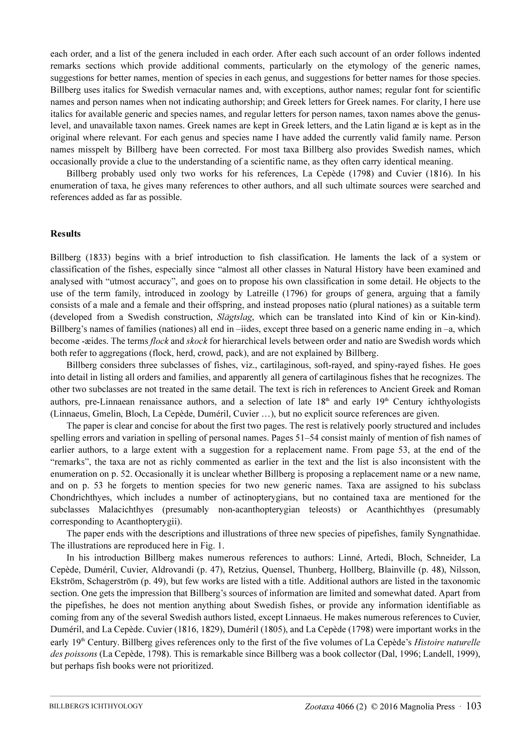each order, and a list of the genera included in each order. After each such account of an order follows indented remarks sections which provide additional comments, particularly on the etymology of the generic names, suggestions for better names, mention of species in each genus, and suggestions for better names for those species. Billberg uses italics for Swedish vernacular names and, with exceptions, author names; regular font for scientific names and person names when not indicating authorship; and Greek letters for Greek names. For clarity, I here use italics for available generic and species names, and regular letters for person names, taxon names above the genuslevel, and unavailable taxon names. Greek names are kept in Greek letters, and the Latin ligand æ is kept as in the original where relevant. For each genus and species name I have added the currently valid family name. Person names misspelt by Billberg have been corrected. For most taxa Billberg also provides Swedish names, which occasionally provide a clue to the understanding of a scientific name, as they often carry identical meaning.

Billberg probably used only two works for his references, La Cepède (1798) and Cuvier (1816). In his enumeration of taxa, he gives many references to other authors, and all such ultimate sources were searched and references added as far as possible.

## Results

Billberg (1833) begins with a brief introduction to fish classification. He laments the lack of a system or classification of the fishes, especially since "almost all other classes in Natural History have been examined and analysed with "utmost accuracy", and goes on to propose his own classification in some detail. He objects to the use of the term family, introduced in zoology by Latreille (1796) for groups of genera, arguing that a family consists of a male and a female and their offspring, and instead proposes natio (plural nationes) as a suitable term (developed from a Swedish construction, Slägtslag, which can be translated into Kind of kin or Kin-kind). Billberg's names of families (nationes) all end in –iides, except three based on a generic name ending in –a, which become -æides. The terms *flock* and *skock* for hierarchical levels between order and natio are Swedish words which both refer to aggregations (flock, herd, crowd, pack), and are not explained by Billberg.

Billberg considers three subclasses of fishes, viz., cartilaginous, soft-rayed, and spiny-rayed fishes. He goes into detail in listing all orders and families, and apparently all genera of cartilaginous fishes that he recognizes. The other two subclasses are not treated in the same detail. The text is rich in references to Ancient Greek and Roman authors, pre-Linnaean renaissance authors, and a selection of late 18<sup>th</sup> and early 19<sup>th</sup> Century ichthyologists (Linnaeus, Gmelin, Bloch, La Cepède, Duméril, Cuvier …), but no explicit source references are given.

The paper is clear and concise for about the first two pages. The rest is relatively poorly structured and includes spelling errors and variation in spelling of personal names. Pages 51–54 consist mainly of mention of fish names of earlier authors, to a large extent with a suggestion for a replacement name. From page 53, at the end of the "remarks", the taxa are not as richly commented as earlier in the text and the list is also inconsistent with the enumeration on p. 52. Occasionally it is unclear whether Billberg is proposing a replacement name or a new name, and on p. 53 he forgets to mention species for two new generic names. Taxa are assigned to his subclass Chondrichthyes, which includes a number of actinopterygians, but no contained taxa are mentioned for the subclasses Malacichthyes (presumably non-acanthopterygian teleosts) or Acanthichthyes (presumably corresponding to Acanthopterygii).

The paper ends with the descriptions and illustrations of three new species of pipefishes, family Syngnathidae. The illustrations are reproduced here in Fig. 1.

In his introduction Billberg makes numerous references to authors: Linné, Artedi, Bloch, Schneider, La Cepède, Duméril, Cuvier, Aldrovandi (p. 47), Retzius, Quensel, Thunberg, Hollberg, Blainville (p. 48), Nilsson, Ekström, Schagerström (p. 49), but few works are listed with a title. Additional authors are listed in the taxonomic section. One gets the impression that Billberg's sources of information are limited and somewhat dated. Apart from the pipefishes, he does not mention anything about Swedish fishes, or provide any information identifiable as coming from any of the several Swedish authors listed, except Linnaeus. He makes numerous references to Cuvier, Duméril, and La Cepède. Cuvier (1816, 1829), Duméril (1805), and La Cepède (1798) were important works in the early  $19<sup>th</sup>$  Century. Billberg gives references only to the first of the five volumes of La Cepède's *Histoire naturelle* des poissons (La Cepède, 1798). This is remarkable since Billberg was a book collector (Dal, 1996; Landell, 1999), but perhaps fish books were not prioritized.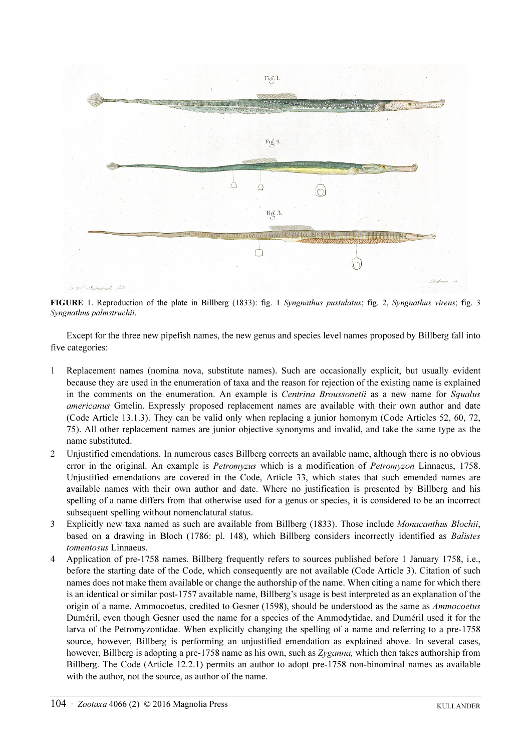

FIGURE 1. Reproduction of the plate in Billberg (1833): fig. 1 Syngnathus pustulatus; fig. 2, Syngnathus virens; fig. 3 Syngnathus palmstruchii.

Except for the three new pipefish names, the new genus and species level names proposed by Billberg fall into five categories:

- 1 Replacement names (nomina nova, substitute names). Such are occasionally explicit, but usually evident because they are used in the enumeration of taxa and the reason for rejection of the existing name is explained in the comments on the enumeration. An example is *Centrina Broussonetii* as a new name for *Squalus* americanus Gmelin. Expressly proposed replacement names are available with their own author and date (Code Article 13.1.3). They can be valid only when replacing a junior homonym (Code Articles 52, 60, 72, 75). All other replacement names are junior objective synonyms and invalid, and take the same type as the name substituted.
- 2 Unjustified emendations. In numerous cases Billberg corrects an available name, although there is no obvious error in the original. An example is *Petromyzus* which is a modification of *Petromyzon* Linnaeus, 1758. Unjustified emendations are covered in the Code, Article 33, which states that such emended names are available names with their own author and date. Where no justification is presented by Billberg and his spelling of a name differs from that otherwise used for a genus or species, it is considered to be an incorrect subsequent spelling without nomenclatural status.
- 3 Explicitly new taxa named as such are available from Billberg (1833). Those include Monacanthus Blochii, based on a drawing in Bloch (1786: pl. 148), which Billberg considers incorrectly identified as Balistes tomentosus Linnaeus.
- 4 Application of pre-1758 names. Billberg frequently refers to sources published before 1 January 1758, i.e., before the starting date of the Code, which consequently are not available (Code Article 3). Citation of such names does not make them available or change the authorship of the name. When citing a name for which there is an identical or similar post-1757 available name, Billberg's usage is best interpreted as an explanation of the origin of a name. Ammocoetus, credited to Gesner (1598), should be understood as the same as Ammocoetus Duméril, even though Gesner used the name for a species of the Ammodytidae, and Duméril used it for the larva of the Petromyzontidae. When explicitly changing the spelling of a name and referring to a pre-1758 source, however, Billberg is performing an unjustified emendation as explained above. In several cases, however, Billberg is adopting a pre-1758 name as his own, such as Zyganna, which then takes authorship from Billberg. The Code (Article 12.2.1) permits an author to adopt pre-1758 non-binominal names as available with the author, not the source, as author of the name.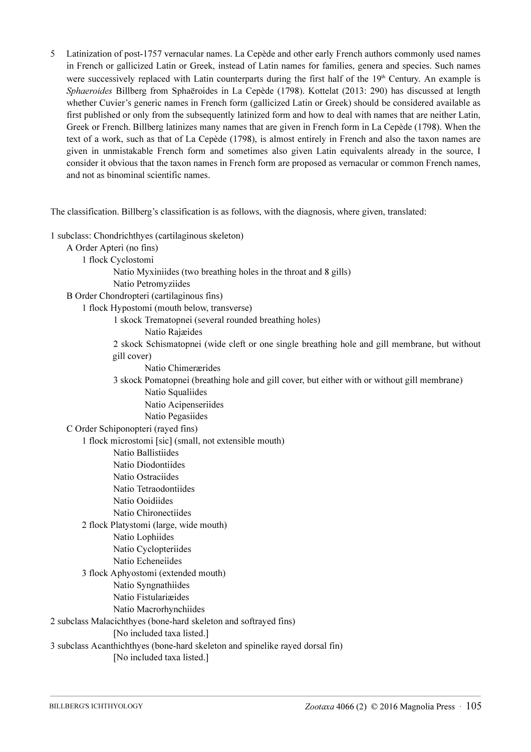5 Latinization of post-1757 vernacular names. La Cepède and other early French authors commonly used names in French or gallicized Latin or Greek, instead of Latin names for families, genera and species. Such names were successively replaced with Latin counterparts during the first half of the 19<sup>th</sup> Century. An example is Sphaeroides Billberg from Sphaëroides in La Cepède (1798). Kottelat (2013: 290) has discussed at length whether Cuvier's generic names in French form (gallicized Latin or Greek) should be considered available as first published or only from the subsequently latinized form and how to deal with names that are neither Latin, Greek or French. Billberg latinizes many names that are given in French form in La Cepède (1798). When the text of a work, such as that of La Cepède (1798), is almost entirely in French and also the taxon names are given in unmistakable French form and sometimes also given Latin equivalents already in the source, I consider it obvious that the taxon names in French form are proposed as vernacular or common French names, and not as binominal scientific names.

The classification. Billberg's classification is as follows, with the diagnosis, where given, translated:

1 subclass: Chondrichthyes (cartilaginous skeleton) A Order Apteri (no fins) 1 flock Cyclostomi Natio Myxiniides (two breathing holes in the throat and 8 gills) Natio Petromyziides B Order Chondropteri (cartilaginous fins) 1 flock Hypostomi (mouth below, transverse) 1 skock Trematopnei (several rounded breathing holes) Natio Rajæides 2 skock Schismatopnei (wide cleft or one single breathing hole and gill membrane, but without gill cover) Natio Chimerærides 3 skock Pomatopnei (breathing hole and gill cover, but either with or without gill membrane) Natio Squaliides Natio Acipenseriides Natio Pegasiides C Order Schiponopteri (rayed fins) 1 flock microstomi [sic] (small, not extensible mouth) Natio Ballistiides Natio Diodontiides Natio Ostraciides Natio Tetraodontiides Natio Ooidiides Natio Chironectiides 2 flock Platystomi (large, wide mouth) Natio Lophiides Natio Cyclopteriides Natio Echeneiides 3 flock Aphyostomi (extended mouth) Natio Syngnathiides Natio Fistulariæides Natio Macrorhynchiides 2 subclass Malacichthyes (bone-hard skeleton and softrayed fins) [No included taxa listed.] 3 subclass Acanthichthyes (bone-hard skeleton and spinelike rayed dorsal fin) [No included taxa listed.]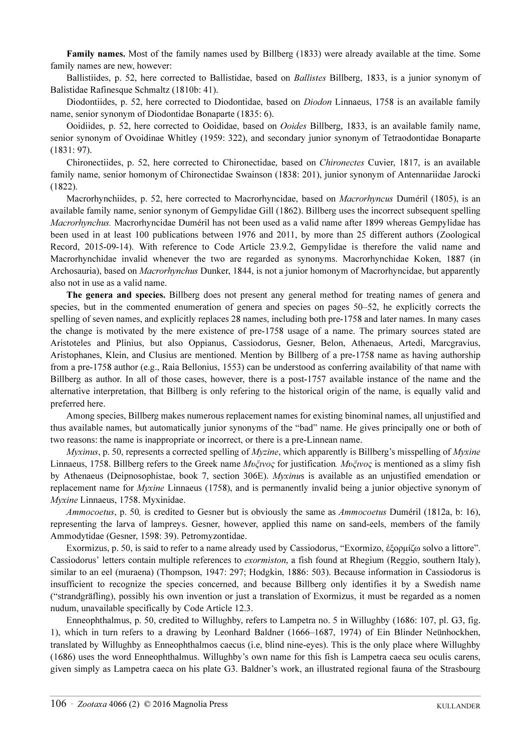Family names. Most of the family names used by Billberg (1833) were already available at the time. Some family names are new, however:

Ballistiides, p. 52, here corrected to Ballistidae, based on Ballistes Billberg, 1833, is a junior synonym of Balistidae Rafinesque Schmaltz (1810b: 41).

Diodontiides, p. 52, here corrected to Diodontidae, based on *Diodon* Linnaeus, 1758 is an available family name, senior synonym of Diodontidae Bonaparte (1835: 6).

Ooidiides, p. 52, here corrected to Ooididae, based on Ooides Billberg, 1833, is an available family name, senior synonym of Ovoidinae Whitley (1959: 322), and secondary junior synonym of Tetraodontidae Bonaparte (1831: 97).

Chironectiides, p. 52, here corrected to Chironectidae, based on Chironectes Cuvier, 1817, is an available family name, senior homonym of Chironectidae Swainson (1838: 201), junior synonym of Antennariidae Jarocki (1822).

Macrorhynchiides, p. 52, here corrected to Macrorhyncidae, based on *Macrorhyncus* Duméril (1805), is an available family name, senior synonym of Gempylidae Gill (1862). Billberg uses the incorrect subsequent spelling Macrorhynchus. Macrorhyncidae Duméril has not been used as a valid name after 1899 whereas Gempylidae has been used in at least 100 publications between 1976 and 2011, by more than 25 different authors (Zoological Record, 2015-09-14). With reference to Code Article 23.9.2, Gempylidae is therefore the valid name and Macrorhynchidae invalid whenever the two are regarded as synonyms. Macrorhynchidae Koken, 1887 (in Archosauria), based on Macrorhynchus Dunker, 1844, is not a junior homonym of Macrorhyncidae, but apparently also not in use as a valid name.

The genera and species. Billberg does not present any general method for treating names of genera and species, but in the commented enumeration of genera and species on pages 50–52, he explicitly corrects the spelling of seven names, and explicitly replaces 28 names, including both pre-1758 and later names. In many cases the change is motivated by the mere existence of pre-1758 usage of a name. The primary sources stated are Aristoteles and Plinius, but also Oppianus, Cassiodorus, Gesner, Belon, Athenaeus, Artedi, Marcgravius, Aristophanes, Klein, and Clusius are mentioned. Mention by Billberg of a pre-1758 name as having authorship from a pre-1758 author (e.g., Raia Bellonius, 1553) can be understood as conferring availability of that name with Billberg as author. In all of those cases, however, there is a post-1757 available instance of the name and the alternative interpretation, that Billberg is only refering to the historical origin of the name, is equally valid and preferred here.

Among species, Billberg makes numerous replacement names for existing binominal names, all unjustified and thus available names, but automatically junior synonyms of the "bad" name. He gives principally one or both of two reasons: the name is inappropriate or incorrect, or there is a pre-Linnean name.

Myxinus, p. 50, represents a corrected spelling of *Myzine*, which apparently is Billberg's misspelling of *Myxine* Linnaeus, 1758. Billberg refers to the Greek name Μυξινος for justification. Μυξινος is mentioned as a slimy fish by Athenaeus (Deipnosophistae, book 7, section 306E). Myxinus is available as an unjustified emendation or replacement name for Myxine Linnaeus (1758), and is permanently invalid being a junior objective synonym of Myxine Linnaeus, 1758. Myxinidae.

Ammocoetus, p. 50, is credited to Gesner but is obviously the same as Ammocoetus Duméril (1812a, b: 16), representing the larva of lampreys. Gesner, however, applied this name on sand-eels, members of the family Ammodytidae (Gesner, 1598: 39). Petromyzontidae.

Exormizus, p. 50, is said to refer to a name already used by Cassiodorus, "Exormizo, ἐξορμίζω solvo a littore". Cassiodorus' letters contain multiple references to exormiston, a fish found at Rhegium (Reggio, southern Italy), similar to an eel (muraena) (Thompson, 1947: 297; Hodgkin, 1886: 503). Because information in Cassiodorus is insufficient to recognize the species concerned, and because Billberg only identifies it by a Swedish name ("strandgräfling), possibly his own invention or just a translation of Exormizus, it must be regarded as a nomen nudum, unavailable specifically by Code Article 12.3.

Enneophthalmus, p. 50, credited to Willughby, refers to Lampetra no. 5 in Willughby (1686: 107, pl. G3, fig. 1), which in turn refers to a drawing by Leonhard Baldner (1666–1687, 1974) of Ein Blinder Neünhockhen, translated by Willughby as Enneophthalmos caecus (i.e, blind nine-eyes). This is the only place where Willughby (1686) uses the word Enneophthalmus. Willughby's own name for this fish is Lampetra caeca seu oculis carens, given simply as Lampetra caeca on his plate G3. Baldner's work, an illustrated regional fauna of the Strasbourg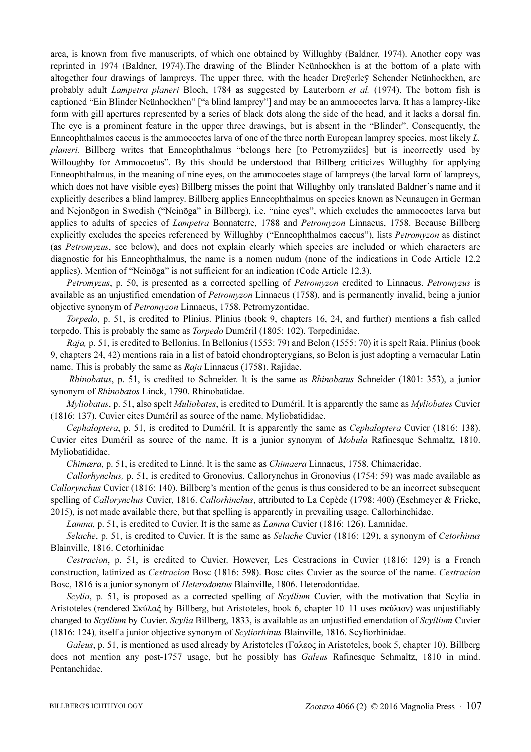area, is known from five manuscripts, of which one obtained by Willughby (Baldner, 1974). Another copy was reprinted in 1974 (Baldner, 1974).The drawing of the Blinder Neünhockhen is at the bottom of a plate with altogether four drawings of lampreys. The upper three, with the header Dreÿerleÿ Sehender Neünhockhen, are probably adult *Lampetra planeri* Bloch, 1784 as suggested by Lauterborn *et al.* (1974). The bottom fish is captioned "Ein Blinder Neünhockhen" ["a blind lamprey"] and may be an ammocoetes larva. It has a lamprey-like form with gill apertures represented by a series of black dots along the side of the head, and it lacks a dorsal fin. The eye is a prominent feature in the upper three drawings, but is absent in the "Blinder". Consequently, the Enneophthalmos caecus is the ammocoetes larva of one of the three north European lamprey species, most likely L. planeri. Billberg writes that Enneophthalmus "belongs here [to Petromyziides] but is incorrectly used by Willoughby for Ammocoetus". By this should be understood that Billberg criticizes Willughby for applying Enneophthalmus, in the meaning of nine eyes, on the ammocoetes stage of lampreys (the larval form of lampreys, which does not have visible eyes) Billberg misses the point that Willughby only translated Baldner's name and it explicitly describes a blind lamprey. Billberg applies Enneophthalmus on species known as Neunaugen in German and Nejonögon in Swedish ("Neinöga" in Billberg), i.e. "nine eyes", which excludes the ammocoetes larva but applies to adults of species of *Lampetra* Bonnaterre, 1788 and *Petromyzon* Linnaeus, 1758. Because Billberg explicitly excludes the species referenced by Willughby ("Enneophthalmos caecus"), lists *Petromyzon* as distinct (as Petromyzus, see below), and does not explain clearly which species are included or which characters are diagnostic for his Enneophthalmus, the name is a nomen nudum (none of the indications in Code Article 12.2 applies). Mention of "Neinöga" is not sufficient for an indication (Code Article 12.3).

Petromyzus, p. 50, is presented as a corrected spelling of Petromyzon credited to Linnaeus. Petromyzus is available as an unjustified emendation of Petromyzon Linnaeus (1758), and is permanently invalid, being a junior objective synonym of Petromyzon Linnaeus, 1758. Petromyzontidae.

Torpedo, p. 51, is credited to Plinius. Plinius (book 9, chapters 16, 24, and further) mentions a fish called torpedo. This is probably the same as Torpedo Duméril (1805: 102). Torpedinidae.

Raja, p. 51, is credited to Bellonius. In Bellonius (1553: 79) and Belon (1555: 70) it is spelt Raia. Plinius (book 9, chapters 24, 42) mentions raia in a list of batoid chondropterygians, so Belon is just adopting a vernacular Latin name. This is probably the same as Raja Linnaeus (1758). Rajidae.

Rhinobatus, p. 51, is credited to Schneider. It is the same as Rhinobatus Schneider (1801: 353), a junior synonym of Rhinobatos Linck, 1790. Rhinobatidae.

Myliobatus, p. 51, also spelt Muliobates, is credited to Duméril. It is apparently the same as Myliobates Cuvier (1816: 137). Cuvier cites Duméril as source of the name. Myliobatididae.

Cephaloptera, p. 51, is credited to Duméril. It is apparently the same as Cephaloptera Cuvier (1816: 138). Cuvier cites Duméril as source of the name. It is a junior synonym of Mobula Rafinesque Schmaltz, 1810. Myliobatididae.

Chimæra, p. 51, is credited to Linné. It is the same as Chimaera Linnaeus, 1758. Chimaeridae.

Callorhynchus, p. 51, is credited to Gronovius. Callorynchus in Gronovius (1754: 59) was made available as Callorynchus Cuvier (1816: 140). Billberg's mention of the genus is thus considered to be an incorrect subsequent spelling of Callorynchus Cuvier, 1816. Callorhinchus, attributed to La Cepède (1798: 400) (Eschmeyer & Fricke, 2015), is not made available there, but that spelling is apparently in prevailing usage. Callorhinchidae.

Lamna, p. 51, is credited to Cuvier. It is the same as *Lamna* Cuvier (1816: 126). Lamnidae.

Selache, p. 51, is credited to Cuvier. It is the same as Selache Cuvier (1816: 129), a synonym of Cetorhinus Blainville, 1816. Cetorhinidae

Cestracion, p. 51, is credited to Cuvier. However, Les Cestracions in Cuvier (1816: 129) is a French construction, latinized as Cestracion Bosc (1816: 598). Bosc cites Cuvier as the source of the name. Cestracion Bosc, 1816 is a junior synonym of Heterodontus Blainville, 1806. Heterodontidae.

Scylia, p. 51, is proposed as a corrected spelling of Scyllium Cuvier, with the motivation that Scylia in Aristoteles (rendered Σκύλαξ by Billberg, but Aristoteles, book 6, chapter 10–11 uses σκύλιον) was unjustifiably changed to Scyllium by Cuvier. Scylia Billberg, 1833, is available as an unjustified emendation of Scyllium Cuvier (1816: 124), itself a junior objective synonym of Scyliorhinus Blainville, 1816. Scyliorhinidae.

Galeus, p. 51, is mentioned as used already by Aristoteles (Γαλεος in Aristoteles, book 5, chapter 10). Billberg does not mention any post-1757 usage, but he possibly has *Galeus* Rafinesque Schmaltz, 1810 in mind. Pentanchidae.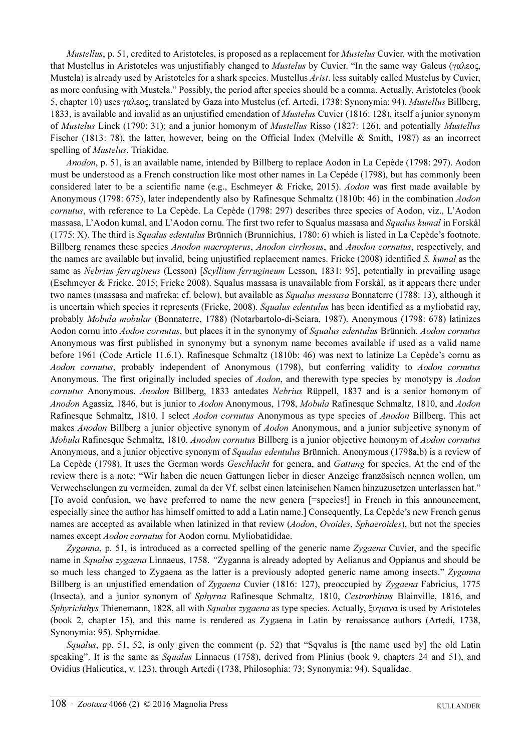Mustellus, p. 51, credited to Aristoteles, is proposed as a replacement for *Mustelus* Cuvier, with the motivation that Mustellus in Aristoteles was unjustifiably changed to Mustelus by Cuvier. "In the same way Galeus (γαλεος, Mustela) is already used by Aristoteles for a shark species. Mustellus Arist. less suitably called Mustelus by Cuvier, as more confusing with Mustela." Possibly, the period after species should be a comma. Actually, Aristoteles (book 5, chapter 10) uses γαλεος, translated by Gaza into Mustelus (cf. Artedi, 1738: Synonymia: 94). Mustellus Billberg, 1833, is available and invalid as an unjustified emendation of *Mustelus* Cuvier (1816: 128), itself a junior synonym of Mustelus Linck (1790: 31); and a junior homonym of Mustellus Risso (1827: 126), and potentially Mustellus Fischer (1813: 78), the latter, however, being on the Official Index (Melville & Smith, 1987) as an incorrect spelling of *Mustelus*. Triakidae.

Anodon, p. 51, is an available name, intended by Billberg to replace Aodon in La Cepède (1798: 297). Aodon must be understood as a French construction like most other names in La Cepéde (1798), but has commonly been considered later to be a scientific name (e.g., Eschmeyer & Fricke, 2015). Aodon was first made available by Anonymous (1798: 675), later independently also by Rafinesque Schmaltz (1810b: 46) in the combination Aodon cornutus, with reference to La Cepède. La Cepède (1798: 297) describes three species of Aodon, viz., L'Aodon massasa, L'Aodon kumal, and L'Aodon cornu. The first two refer to Squalus massasa and Squalus kumal in Forskål (1775: X). The third is Squalus edentulus Brünnich (Brunnichius, 1780: 6) which is listed in La Cepède's footnote. Billberg renames these species Anodon macropterus, Anodon cirrhosus, and Anodon cornutus, respectively, and the names are available but invalid, being unjustified replacement names. Fricke (2008) identified S. kumal as the same as Nebrius ferrugineus (Lesson) [Scyllium ferrugineum Lesson, 1831: 95], potentially in prevailing usage (Eschmeyer & Fricke, 2015; Fricke 2008). Squalus massasa is unavailable from Forskål, as it appears there under two names (massasa and mafreka; cf. below), but available as *Squalus messasa* Bonnaterre (1788: 13), although it is uncertain which species it represents (Fricke, 2008). Squalus edentulus has been identified as a myliobatid ray, probably Mobula mobular (Bonnaterre, 1788) (Notarbartolo-di-Sciara, 1987). Anonymous (1798: 678) latinizes Aodon cornu into Aodon cornutus, but places it in the synonymy of Squalus edentulus Brünnich. Aodon cornutus Anonymous was first published in synonymy but a synonym name becomes available if used as a valid name before 1961 (Code Article 11.6.1). Rafinesque Schmaltz (1810b: 46) was next to latinize La Cepède's cornu as Aodon cornutus, probably independent of Anonymous (1798), but conferring validity to Aodon cornutus Anonymous. The first originally included species of Aodon, and therewith type species by monotypy is Aodon cornutus Anonymous. Anodon Billberg, 1833 antedates Nebrius Rüppell, 1837 and is a senior homonym of Anodon Agassiz, 1846, but is junior to Aodon Anonymous, 1798, Mobula Rafinesque Schmaltz, 1810, and Aodon Rafinesque Schmaltz, 1810. I select Aodon cornutus Anonymous as type species of Anodon Billberg. This act makes *Anodon* Billberg a junior objective synonym of *Aodon* Anonymous, and a junior subjective synonym of Mobula Rafinesque Schmaltz, 1810. Anodon cornutus Billberg is a junior objective homonym of Aodon cornutus Anonymous, and a junior objective synonym of *Squalus edentulus* Brünnich. Anonymous (1798a,b) is a review of La Cepède (1798). It uses the German words Geschlacht for genera, and Gattung for species. At the end of the review there is a note: "Wir haben die neuen Gattungen lieber in dieser Anzeige französisch nennen wollen, um Verwechselungen zu vermeiden, zumal da der Vf. selbst einen lateinischen Namen hinzuzusetzen unterlassen hat." [To avoid confusion, we have preferred to name the new genera [=species!] in French in this announcement, especially since the author has himself omitted to add a Latin name.] Consequently, La Cepède's new French genus names are accepted as available when latinized in that review (Aodon, Ovoides, Sphaeroides), but not the species names except Aodon cornutus for Aodon cornu. Myliobatididae.

Zyganna, p. 51, is introduced as a corrected spelling of the generic name Zygaena Cuvier, and the specific name in Squalus zygaena Linnaeus, 1758. "Zyganna is already adopted by Aelianus and Oppianus and should be so much less changed to Zygaena as the latter is a previously adopted generic name among insects." Zyganna Billberg is an unjustified emendation of Zygaena Cuvier (1816: 127), preoccupied by Zygaena Fabricius, 1775 (Insecta), and a junior synonym of Sphyrna Rafinesque Schmaltz, 1810, Cestrorhinus Blainville, 1816, and Sphyrichthys Thienemann, 1828, all with Squalus zygaena as type species. Actually, ξυγαινα is used by Aristoteles (book 2, chapter 15), and this name is rendered as Zygaena in Latin by renaissance authors (Artedi, 1738, Synonymia: 95). Sphyrnidae.

Squalus, pp. 51, 52, is only given the comment (p. 52) that "Sqvalus is [the name used by] the old Latin speaking". It is the same as *Squalus* Linnaeus (1758), derived from Plinius (book 9, chapters 24 and 51), and Ovidius (Halieutica, v. 123), through Artedi (1738, Philosophia: 73; Synonymia: 94). Squalidae.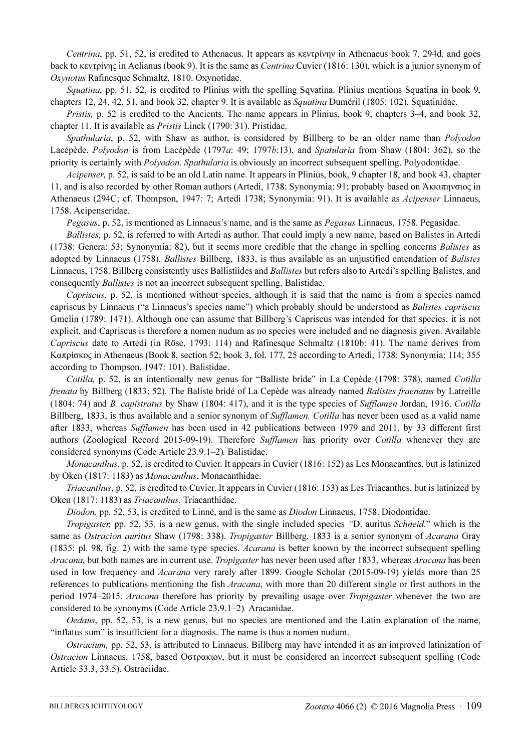Centrina, pp. 51, 52, is credited to Athenaeus. It appears as κεντρίνην in Athenaeus book 7, 294d, and goes back to κεντρίνης in Aelianus (book 9). It is the same as Centrina Cuvier (1816: 130), which is a junior synonym of Oxynotus Rafinesque Schmaltz, 1810. Oxynotidae.

Squatina, pp. 51, 52, is credited to Plinius with the spelling Sqvatina. Plinius mentions Squatina in book 9, chapters 12, 24, 42, 51, and book 32, chapter 9. It is available as Squatina Duméril (1805: 102). Squatinidae.

Pristis, p. 52 is credited to the Ancients. The name appears in Plinius, book 9, chapters 3–4, and book 32, chapter 11. It is available as Pristis Linck (1790: 31). Pristidae.

Spathularia, p. 52, with Shaw as author, is considered by Billberg to be an older name than *Polyodon* Lacépède. Polyodon is from Lacépède (1797a: 49; 1797b:13), and Spatularia from Shaw (1804: 362), so the priority is certainly with *Polyodon. Spathularia* is obviously an incorrect subsequent spelling. Polyodontidae.

Acipenser, p. 52, is said to be an old Latin name. It appears in Plinius, book, 9 chapter 18, and book 43, chapter 11, and is also recorded by other Roman authors (Artedi, 1738: Synonymia: 91; probably based on Άκκιπηνσιος in Athenaeus (294C; cf. Thompson, 1947: 7; Artedi 1738; Synonymia: 91). It is available as Acipenser Linnaeus, 1758. Acipenseridae.

Pegasus, p. 52, is mentioned as Linnaeus's name, and is the same as Pegasus Linnaeus, 1758. Pegasidae.

Ballistes, p. 52, is referred to with Artedi as author. That could imply a new name, based on Balistes in Artedi (1738: Genera: 53; Synonymia: 82), but it seems more credible that the change in spelling concerns Balistes as adopted by Linnaeus (1758). Ballistes Billberg, 1833, is thus available as an unjustified emendation of Balistes Linnaeus, 1758. Billberg consistently uses Ballistiides and *Ballistes* but refers also to Artedi's spelling Balistes, and consequently Ballistes is not an incorrect subsequent spelling. Balistidae.

Capriscus, p. 52, is mentioned without species, although it is said that the name is from a species named capriscus by Linnaeus ("a Linnaeus's species name") which probably should be understood as Balistes capriscus Gmelin (1789: 1471). Although one can assume that Billberg's Capriscus was intended for that species, it is not explicit, and Capriscus is therefore a nomen nudum as no species were included and no diagnosis given. Available Capriscus date to Artedi (in Röse, 1793: 114) and Rafinesque Schmaltz (1810b: 41). The name derives from Καπρίσκος in Athenaeus (Book 8, section 52; book 3, fol. 177, 25 according to Artedi, 1738: Synonymia: 114; 355 according to Thompson, 1947: 101). Balistidae.

Cotilla, p. 52, is an intentionally new genus for "Balliste bride" in La Cepède (1798: 378), named Cotilla frenata by Billberg (1833: 52). The Baliste bridé of La Cepède was already named Balistes fraenatus by Latreille (1804: 74) and B. capistratus by Shaw (1804: 417), and it is the type species of Sufflamen Jordan, 1916. Cotilla Billberg, 1833, is thus available and a senior synonym of *Sufflamen. Cotilla* has never been used as a valid name after 1833, whereas Sufflamen has been used in 42 publications between 1979 and 2011, by 33 different first authors (Zoological Record 2015-09-19). Therefore Sufflamen has priority over Cotilla whenever they are considered synonyms (Code Article 23.9.1–2). Balistidae.

Monacanthus, p. 52, is credited to Cuvier. It appears in Cuvier (1816: 152) as Les Monacanthes, but is latinized by Oken (1817: 1183) as Monacanthus. Monacanthidae.

Triacanthus, p. 52, is credited to Cuvier. It appears in Cuvier (1816: 153) as Les Triacanthes, but is latinized by Oken (1817: 1183) as Triacanthus. Triacanthidae.

Diodon, pp. 52, 53, is credited to Linné, and is the same as Diodon Linnaeus, 1758. Diodontidae.

Tropigaster, pp. 52, 53, is a new genus, with the single included species "D. auritus Schneid." which is the same as Ostracion auritus Shaw (1798: 338). Tropigaster Billberg, 1833 is a senior synonym of Acarana Gray (1835: pl. 98, fig. 2) with the same type species. Acarana is better known by the incorrect subsequent spelling Aracana, but both names are in current use. Tropigaster has never been used after 1833, whereas Aracana has been used in low frequency and *Acarana* very rarely after 1899. Google Scholar (2015-09-19) yields more than 25 references to publications mentioning the fish *Aracana*, with more than 20 different single or first authors in the period 1974–2015. Aracana therefore has priority by prevailing usage over Tropigaster whenever the two are considered to be synonyms (Code Article 23.9.1–2). Aracanidae.

Oedaus, pp. 52, 53, is a new genus, but no species are mentioned and the Latin explanation of the name, "inflatus sum" is insufficient for a diagnosis. The name is thus a nomen nudum.

Ostracium, pp. 52, 53, is attributed to Linnaeus. Billberg may have intended it as an improved latinization of Ostracion Linnaeus, 1758, based Οστρακιον, but it must be considered an incorrect subsequent spelling (Code Article 33.3, 33.5). Ostraciidae.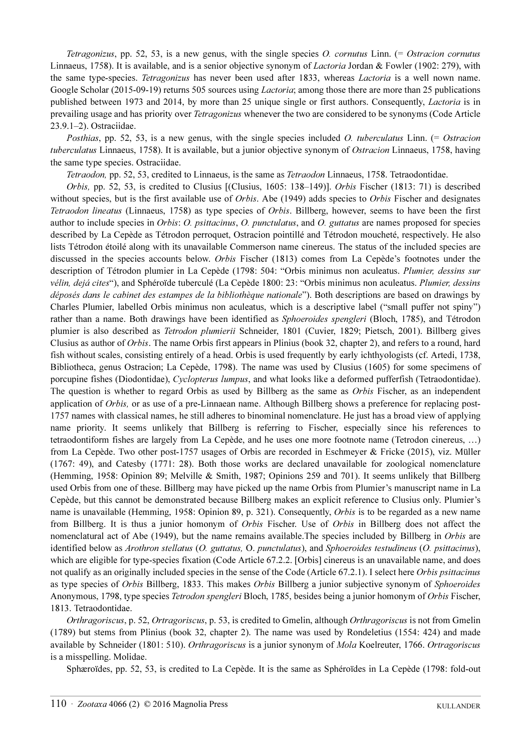Tetragonizus, pp. 52, 53, is a new genus, with the single species O. cornutus Linn. (= Ostracion cornutus Linnaeus, 1758). It is available, and is a senior objective synonym of *Lactoria* Jordan & Fowler (1902: 279), with the same type-species. Tetragonizus has never been used after 1833, whereas *Lactoria* is a well nown name. Google Scholar (2015-09-19) returns 505 sources using *Lactoria*; among those there are more than 25 publications published between 1973 and 2014, by more than 25 unique single or first authors. Consequently, Lactoria is in prevailing usage and has priority over *Tetragonizus* whenever the two are considered to be synonyms (Code Article 23.9.1–2). Ostraciidae.

Posthias, pp. 52, 53, is a new genus, with the single species included O. tuberculatus Linn. (= Ostracion tuberculatus Linnaeus, 1758). It is available, but a junior objective synonym of Ostracion Linnaeus, 1758, having the same type species. Ostraciidae.

Tetraodon, pp. 52, 53, credited to Linnaeus, is the same as Tetraodon Linnaeus, 1758. Tetraodontidae.

Orbis, pp. 52, 53, is credited to Clusius [(Clusius, 1605: 138–149)]. Orbis Fischer (1813: 71) is described without species, but is the first available use of *Orbis*. Abe (1949) adds species to *Orbis* Fischer and designates Tetraodon lineatus (Linnaeus, 1758) as type species of Orbis. Billberg, however, seems to have been the first author to include species in Orbis: O. psittacinus, O. punctulatus, and O. guttatus are names proposed for species described by La Cepède as Tétrodon perroquet, Ostracion pointillé and Tétrodon moucheté, respectively. He also lists Tétrodon étoilé along with its unavailable Commerson name cinereus. The status of the included species are discussed in the species accounts below. Orbis Fischer (1813) comes from La Cepède's footnotes under the description of Tétrodon plumier in La Cepède (1798: 504: "Orbis minimus non aculeatus. Plumier, dessins sur vélin, dejá cites"), and Sphéroïde tuberculé (La Cepède 1800: 23: "Orbis minimus non aculeatus. Plumier, dessins déposés dans le cabinet des estampes de la bibliothèque nationale"). Both descriptions are based on drawings by Charles Plumier, labelled Orbis minimus non aculeatus, which is a descriptive label ("small puffer not spiny") rather than a name. Both drawings have been identified as *Sphoeroides spengleri* (Bloch, 1785), and Tétrodon plumier is also described as Tetrodon plumierii Schneider, 1801 (Cuvier, 1829; Pietsch, 2001). Billberg gives Clusius as author of Orbis. The name Orbis first appears in Plinius (book 32, chapter 2), and refers to a round, hard fish without scales, consisting entirely of a head. Orbis is used frequently by early ichthyologists (cf. Artedi, 1738, Bibliotheca, genus Ostracion; La Cepède, 1798). The name was used by Clusius (1605) for some specimens of porcupine fishes (Diodontidae), Cyclopterus lumpus, and what looks like a deformed pufferfish (Tetraodontidae). The question is whether to regard Orbis as used by Billberg as the same as Orbis Fischer, as an independent application of Orbis, or as use of a pre-Linnaean name. Although Billberg shows a preference for replacing post-1757 names with classical names, he still adheres to binominal nomenclature. He just has a broad view of applying name priority. It seems unlikely that Billberg is referring to Fischer, especially since his references to tetraodontiform fishes are largely from La Cepède, and he uses one more footnote name (Tetrodon cinereus, …) from La Cepède. Two other post-1757 usages of Orbis are recorded in Eschmeyer & Fricke (2015), viz. Müller (1767: 49), and Catesby (1771: 28). Both those works are declared unavailable for zoological nomenclature (Hemming, 1958: Opinion 89; Melville & Smith, 1987; Opinions 259 and 701). It seems unlikely that Billberg used Orbis from one of these. Billberg may have picked up the name Orbis from Plumier's manuscript name in La Cepède, but this cannot be demonstrated because Billberg makes an explicit reference to Clusius only. Plumier's name is unavailable (Hemming, 1958: Opinion 89, p. 321). Consequently, Orbis is to be regarded as a new name from Billberg. It is thus a junior homonym of *Orbis* Fischer. Use of *Orbis* in Billberg does not affect the nomenclatural act of Abe (1949), but the name remains available. The species included by Billberg in *Orbis* are identified below as Arothron stellatus (O. guttatus, O. punctulatus), and Sphoeroides testudineus (O. psittacinus), which are eligible for type-species fixation (Code Article 67.2.2. [Orbis] cinereus is an unavailable name, and does not qualify as an originally included species in the sense of the Code (Article 67.2.1). I select here Orbis psittacinus as type species of Orbis Billberg, 1833. This makes Orbis Billberg a junior subjective synonym of Sphoeroides Anonymous, 1798, type species Tetrodon spengleri Bloch, 1785, besides being a junior homonym of Orbis Fischer, 1813. Tetraodontidae.

Orthragoriscus, p. 52, Ortragoriscus, p. 53, is credited to Gmelin, although Orthragoriscus is not from Gmelin (1789) but stems from Plinius (book 32, chapter 2). The name was used by Rondeletius (1554: 424) and made available by Schneider (1801: 510). Orthragoriscus is a junior synonym of Mola Koelreuter, 1766. Ortragoriscus is a misspelling. Molidae.

Sphæroïdes, pp. 52, 53, is credited to La Cepède. It is the same as Sphéroïdes in La Cepède (1798: fold-out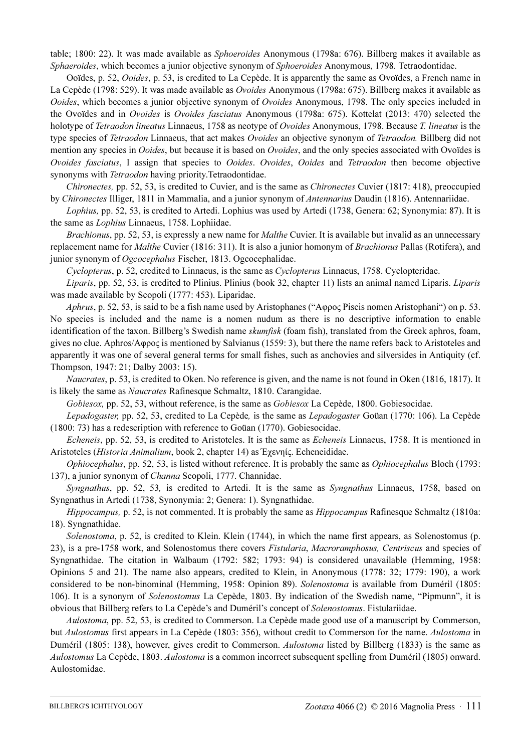table; 1800: 22). It was made available as Sphoeroides Anonymous (1798a: 676). Billberg makes it available as Sphaeroides, which becomes a junior objective synonym of Sphoeroides Anonymous, 1798. Tetraodontidae.

Ooïdes, p. 52, Ooides, p. 53, is credited to La Cepède. It is apparently the same as Ovoïdes, a French name in La Cepède (1798: 529). It was made available as Ovoides Anonymous (1798a: 675). Billberg makes it available as Ooides, which becomes a junior objective synonym of Ovoides Anonymous, 1798. The only species included in the Ovoïdes and in Ovoides is Ovoides fasciatus Anonymous (1798a: 675). Kottelat (2013: 470) selected the holotype of Tetraodon lineatus Linnaeus, 1758 as neotype of Ovoides Anonymous, 1798. Because T. lineatus is the type species of Tetraodon Linnaeus, that act makes Ovoides an objective synonym of Tetraodon. Billberg did not mention any species in *Ooides*, but because it is based on *Ovoïdes*, and the only species associated with Ovoïdes is Ovoides fasciatus, I assign that species to Ooides. Ovoides, Ooides and Tetraodon then become objective synonyms with *Tetraodon* having priority.Tetraodontidae.

Chironectes, pp. 52, 53, is credited to Cuvier, and is the same as Chironectes Cuvier (1817: 418), preoccupied by Chironectes Illiger, 1811 in Mammalia, and a junior synonym of Antennarius Daudin (1816). Antennariidae.

Lophius, pp. 52, 53, is credited to Artedi. Lophius was used by Artedi (1738, Genera: 62; Synonymia: 87). It is the same as Lophius Linnaeus, 1758. Lophiidae.

Brachionus, pp. 52, 53, is expressly a new name for *Malthe* Cuvier. It is available but invalid as an unnecessary replacement name for *Malthe* Cuvier (1816: 311). It is also a junior homonym of *Brachionus* Pallas (Rotifera), and junior synonym of Ogcocephalus Fischer, 1813. Ogcocephalidae.

Cyclopterus, p. 52, credited to Linnaeus, is the same as Cyclopterus Linnaeus, 1758. Cyclopteridae.

Liparis, pp. 52, 53, is credited to Plinius. Plinius (book 32, chapter 11) lists an animal named Liparis. Liparis was made available by Scopoli (1777: 453). Liparidae.

Aphrus, p. 52, 53, is said to be a fish name used by Aristophanes ("Αφρος Piscis nomen Aristophani") on p. 53. No species is included and the name is a nomen nudum as there is no descriptive information to enable identification of the taxon. Billberg's Swedish name *skumfisk* (foam fish), translated from the Greek aphros, foam, gives no clue. Aphros/Αφρος is mentioned by Salvianus (1559: 3), but there the name refers back to Aristoteles and apparently it was one of several general terms for small fishes, such as anchovies and silversides in Antiquity (cf. Thompson, 1947: 21; Dalby 2003: 15).

Naucrates, p. 53, is credited to Oken. No reference is given, and the name is not found in Oken (1816, 1817). It is likely the same as Naucrates Rafinesque Schmaltz, 1810. Carangidae.

Gobiesox, pp. 52, 53, without reference, is the same as Gobiesox La Cepède, 1800. Gobiesocidae.

Lepadogaster, pp. 52, 53, credited to La Cepède, is the same as Lepadogaster Goüan (1770: 106). La Cepède (1800: 73) has a redescription with reference to Goüan (1770). Gobiesocidae.

Echeneis, pp. 52, 53, is credited to Aristoteles. It is the same as Echeneis Linnaeus, 1758. It is mentioned in Aristoteles (Historia Animalium, book 2, chapter 14) as Έχενηίς. Echeneididae.

Ophiocephalus, pp. 52, 53, is listed without reference. It is probably the same as Ophiocephalus Bloch (1793: 137), a junior synonym of Channa Scopoli, 1777. Channidae.

Syngnathus, pp. 52, 53, is credited to Artedi. It is the same as Syngnathus Linnaeus, 1758, based on Syngnathus in Artedi (1738, Synonymia: 2; Genera: 1). Syngnathidae.

Hippocampus, p. 52, is not commented. It is probably the same as Hippocampus Rafinesque Schmaltz (1810a: 18). Syngnathidae.

Solenostoma, p. 52, is credited to Klein. Klein (1744), in which the name first appears, as Solenostomus (p. 23), is a pre-1758 work, and Solenostomus there covers *Fistularia, Macroramphosus, Centriscus* and species of Syngnathidae. The citation in Walbaum (1792: 582; 1793: 94) is considered unavailable (Hemming, 1958: Opinions 5 and 21). The name also appears, credited to Klein, in Anonymous (1778: 32; 1779: 190), a work considered to be non-binominal (Hemming, 1958: Opinion 89). Solenostoma is available from Duméril (1805: 106). It is a synonym of Solenostomus La Cepède, 1803. By indication of the Swedish name, "Pipmunn", it is obvious that Billberg refers to La Cepède's and Duméril's concept of Solenostomus. Fistulariidae.

Aulostoma, pp. 52, 53, is credited to Commerson. La Cepède made good use of a manuscript by Commerson, but Aulostomus first appears in La Cepède (1803: 356), without credit to Commerson for the name. Aulostoma in Duméril (1805: 138), however, gives credit to Commerson. Aulostoma listed by Billberg (1833) is the same as Aulostomus La Cepède, 1803. Aulostoma is a common incorrect subsequent spelling from Duméril (1805) onward. Aulostomidae.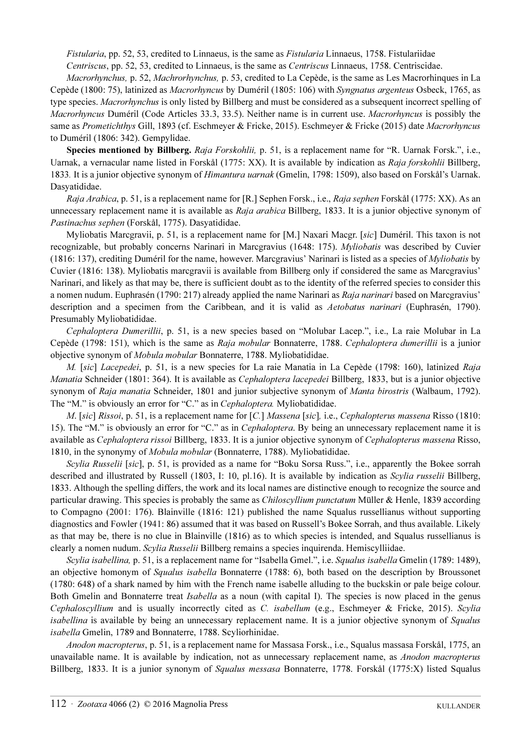Fistularia, pp. 52, 53, credited to Linnaeus, is the same as Fistularia Linnaeus, 1758. Fistulariidae Centriscus, pp. 52, 53, credited to Linnaeus, is the same as Centriscus Linnaeus, 1758. Centriscidae.

Macrorhynchus, p. 52, Machrorhynchus, p. 53, credited to La Cepède, is the same as Les Macrorhinques in La Cepède (1800: 75), latinized as Macrorhyncus by Duméril (1805: 106) with Syngnatus argenteus Osbeck, 1765, as type species. Macrorhynchus is only listed by Billberg and must be considered as a subsequent incorrect spelling of Macrorhyncus Duméril (Code Articles 33.3, 33.5). Neither name is in current use. Macrorhyncus is possibly the same as Prometichthys Gill, 1893 (cf. Eschmeyer & Fricke, 2015). Eschmeyer & Fricke (2015) date Macrorhyncus to Duméril (1806: 342). Gempylidae.

Species mentioned by Billberg. Raja Forskohlii, p. 51, is a replacement name for "R. Uarnak Forsk.", i.e., Uarnak, a vernacular name listed in Forskål (1775: XX). It is available by indication as Raja forskohlii Billberg, 1833. It is a junior objective synonym of Himantura uarnak (Gmelin, 1798: 1509), also based on Forskål's Uarnak. Dasyatididae.

Raja Arabica, p. 51, is a replacement name for [R.] Sephen Forsk., i.e., Raja sephen Forskål (1775: XX). As an unnecessary replacement name it is available as Raja arabica Billberg, 1833. It is a junior objective synonym of Pastinachus sephen (Forskål, 1775). Dasyatididae.

Myliobatis Marcgravii, p. 51, is a replacement name for [M.] Naxari Macgr. [sic] Duméril. This taxon is not recognizable, but probably concerns Narinari in Marcgravius (1648: 175). Myliobatis was described by Cuvier (1816: 137), crediting Duméril for the name, however. Marcgravius' Narinari is listed as a species of Myliobatis by Cuvier (1816: 138). Myliobatis marcgravii is available from Billberg only if considered the same as Marcgravius' Narinari, and likely as that may be, there is sufficient doubt as to the identity of the referred species to consider this a nomen nudum. Euphrasén (1790: 217) already applied the name Narinari as Raja narinari based on Marcgravius' description and a specimen from the Caribbean, and it is valid as Aetobatus narinari (Euphrasén, 1790). Presumably Myliobatididae.

Cephaloptera Dumerillii, p. 51, is a new species based on "Molubar Lacep.", i.e., La raie Molubar in La Cepède (1798: 151), which is the same as Raja mobular Bonnaterre, 1788. Cephaloptera dumerillii is a junior objective synonym of Mobula mobular Bonnaterre, 1788. Myliobatididae.

M. [sic] Lacepedei, p. 51, is a new species for La raie Manatia in La Cepède (1798: 160), latinized Raja Manatia Schneider (1801: 364). It is available as Cephaloptera lacepedei Billberg, 1833, but is a junior objective synonym of Raja manatia Schneider, 1801 and junior subjective synonym of Manta birostris (Walbaum, 1792). The "M." is obviously an error for "C." as in Cephaloptera. Myliobatididae.

M. [sic] Rissoi, p. 51, is a replacement name for [C.] Massena [sic], i.e., Cephalopterus massena Risso (1810: 15). The "M." is obviously an error for "C." as in Cephaloptera. By being an unnecessary replacement name it is available as Cephaloptera rissoi Billberg, 1833. It is a junior objective synonym of Cephalopterus massena Risso, 1810, in the synonymy of Mobula mobular (Bonnaterre, 1788). Myliobatididae.

Scylia Russelii [sic], p. 51, is provided as a name for "Boku Sorsa Russ.", i.e., apparently the Bokee sorrah described and illustrated by Russell (1803, I: 10, pl.16). It is available by indication as *Scylia russelii* Billberg, 1833. Although the spelling differs, the work and its local names are distinctive enough to recognize the source and particular drawing. This species is probably the same as Chiloscyllium punctatum Müller & Henle, 1839 according to Compagno (2001: 176). Blainville (1816: 121) published the name Squalus russellianus without supporting diagnostics and Fowler (1941: 86) assumed that it was based on Russell's Bokee Sorrah, and thus available. Likely as that may be, there is no clue in Blainville (1816) as to which species is intended, and Squalus russellianus is clearly a nomen nudum. Scylia Russelii Billberg remains a species inquirenda. Hemiscylliidae.

Scylia isabellina, p. 51, is a replacement name for "Isabella Gmel.", i.e. Squalus isabella Gmelin (1789: 1489), an objective homonym of Squalus isabella Bonnaterre (1788: 6), both based on the description by Broussonet (1780: 648) of a shark named by him with the French name isabelle alluding to the buckskin or pale beige colour. Both Gmelin and Bonnaterre treat *Isabella* as a noun (with capital I). The species is now placed in the genus Cephaloscyllium and is usually incorrectly cited as C. isabellum (e.g., Eschmeyer & Fricke, 2015). Scylia isabellina is available by being an unnecessary replacement name. It is a junior objective synonym of Squalus isabella Gmelin, 1789 and Bonnaterre, 1788. Scyliorhinidae.

Anodon macropterus, p. 51, is a replacement name for Massasa Forsk., i.e., Squalus massasa Forskål, 1775, an unavailable name. It is available by indication, not as unnecessary replacement name, as *Anodon macropterus* Billberg, 1833. It is a junior synonym of Squalus messasa Bonnaterre, 1778. Forskål (1775:X) listed Squalus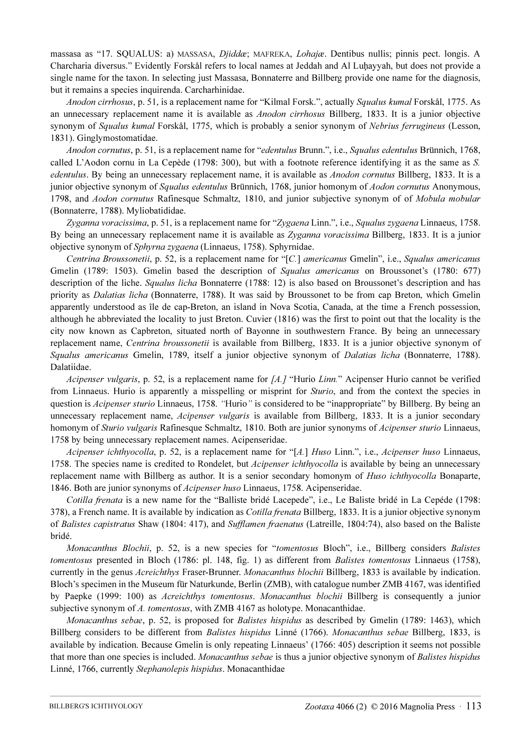massasa as "17. SQUALUS: a) MASSASA, Djiddæ; MAFREKA, Lohajæ. Dentibus nullis; pinnis pect. longis. A Charcharia diversus." Evidently Forskål refers to local names at Jeddah and Al Luḩayyah, but does not provide a single name for the taxon. In selecting just Massasa, Bonnaterre and Billberg provide one name for the diagnosis, but it remains a species inquirenda. Carcharhinidae.

Anodon cirrhosus, p. 51, is a replacement name for "Kilmal Forsk.", actually Squalus kumal Forskål, 1775. As an unnecessary replacement name it is available as *Anodon cirrhosus* Billberg, 1833. It is a junior objective synonym of Squalus kumal Forskål, 1775, which is probably a senior synonym of Nebrius ferrugineus (Lesson, 1831). Ginglymostomatidae.

Anodon cornutus, p. 51, is a replacement name for "edentulus Brunn.", i.e., Squalus edentulus Brünnich, 1768, called L'Aodon cornu in La Cepède (1798: 300), but with a footnote reference identifying it as the same as S. edentulus. By being an unnecessary replacement name, it is available as *Anodon cornutus* Billberg, 1833. It is a junior objective synonym of Squalus edentulus Brünnich, 1768, junior homonym of Aodon cornutus Anonymous, 1798, and Aodon cornutus Rafinesque Schmaltz, 1810, and junior subjective synonym of of Mobula mobular (Bonnaterre, 1788). Myliobatididae.

Zyganna voracissima, p. 51, is a replacement name for "Zygaena Linn.", i.e., Squalus zygaena Linnaeus, 1758. By being an unnecessary replacement name it is available as Zyganna voracissima Billberg, 1833. It is a junior objective synonym of Sphyrna zygaena (Linnaeus, 1758). Sphyrnidae.

Centrina Broussonetii, p. 52, is a replacement name for "[C.] americanus Gmelin", i.e., Squalus americanus Gmelin (1789: 1503). Gmelin based the description of Squalus americanus on Broussonet's (1780: 677) description of the liche. *Squalus licha* Bonnaterre (1788: 12) is also based on Broussonet's description and has priority as Dalatias licha (Bonnaterre, 1788). It was said by Broussonet to be from cap Breton, which Gmelin apparently understood as île de cap-Breton, an island in Nova Scotia, Canada, at the time a French possession, although he abbreviated the locality to just Breton. Cuvier (1816) was the first to point out that the locality is the city now known as Capbreton, situated north of Bayonne in southwestern France. By being an unnecessary replacement name, Centrina broussonetii is available from Billberg, 1833. It is a junior objective synonym of Squalus americanus Gmelin, 1789, itself a junior objective synonym of *Dalatias licha* (Bonnaterre, 1788). Dalatiidae.

Acipenser vulgaris, p. 52, is a replacement name for  $[A.]$  "Hurio Linn." Acipenser Hurio cannot be verified from Linnaeus. Hurio is apparently a misspelling or misprint for *Sturio*, and from the context the species in question is Acipenser sturio Linnaeus, 1758. "Hurio" is considered to be "inappropriate" by Billberg. By being an unnecessary replacement name, Acipenser vulgaris is available from Billberg, 1833. It is a junior secondary homonym of Sturio vulgaris Rafinesque Schmaltz, 1810. Both are junior synonyms of Acipenser sturio Linnaeus, 1758 by being unnecessary replacement names. Acipenseridae.

Acipenser ichthyocolla, p. 52, is a replacement name for "[A.] Huso Linn.", i.e., Acipenser huso Linnaeus, 1758. The species name is credited to Rondelet, but *Acipenser ichthyocolla* is available by being an unnecessary replacement name with Billberg as author. It is a senior secondary homonym of *Huso ichthyocolla* Bonaparte, 1846. Both are junior synonyms of Acipenser huso Linnaeus, 1758. Acipenseridae.

Cotilla frenata is a new name for the "Balliste bridé Lacepede", i.e., Le Baliste bridé in La Cepéde (1798: 378), a French name. It is available by indication as *Cotilla frenata* Billberg, 1833. It is a junior objective synonym of Balistes capistratus Shaw (1804: 417), and Sufflamen fraenatus (Latreille, 1804:74), also based on the Baliste bridé.

Monacanthus Blochii, p. 52, is a new species for "tomentosus Bloch", i.e., Billberg considers Balistes tomentosus presented in Bloch (1786: pl. 148, fig. 1) as different from Balistes tomentosus Linnaeus (1758), currently in the genus Acreichthys Fraser-Brunner. Monacanthus blochii Billberg, 1833 is available by indication. Bloch's specimen in the Museum für Naturkunde, Berlin (ZMB), with catalogue number ZMB 4167, was identified by Paepke (1999: 100) as Acreichthys tomentosus. Monacanthus blochii Billberg is consequently a junior subjective synonym of A. tomentosus, with ZMB 4167 as holotype. Monacanthidae.

Monacanthus sebae, p. 52, is proposed for Balistes hispidus as described by Gmelin (1789: 1463), which Billberg considers to be different from Balistes hispidus Linné (1766). Monacanthus sebae Billberg, 1833, is available by indication. Because Gmelin is only repeating Linnaeus' (1766: 405) description it seems not possible that more than one species is included. Monacanthus sebae is thus a junior objective synonym of Balistes hispidus Linné, 1766, currently Stephanolepis hispidus. Monacanthidae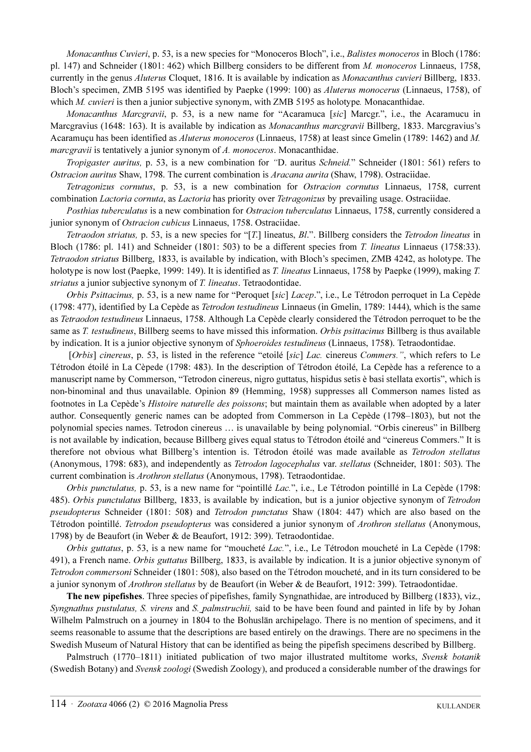Monacanthus Cuvieri, p. 53, is a new species for "Monoceros Bloch", i.e., Balistes monoceros in Bloch (1786: pl. 147) and Schneider (1801: 462) which Billberg considers to be different from M. monoceros Linnaeus, 1758, currently in the genus Aluterus Cloquet, 1816. It is available by indication as Monacanthus cuvieri Billberg, 1833. Bloch's specimen, ZMB 5195 was identified by Paepke (1999: 100) as Aluterus monocerus (Linnaeus, 1758), of which *M. cuvieri* is then a junior subjective synonym, with ZMB 5195 as holotype. Monacanthidae.

Monacanthus Marcgravii, p. 53, is a new name for "Acaramuca [sic] Marcgr.", i.e., the Acaramucu in Marcgravius (1648: 163). It is available by indication as Monacanthus marcgravii Billberg, 1833. Marcgravius's Acaramuçu has been identified as Aluterus monoceros (Linnaeus, 1758) at least since Gmelin (1789: 1462) and M. marcgravii is tentatively a junior synonym of A. monoceros. Monacanthidae.

Tropigaster auritus, p. 53, is a new combination for "D. auritus Schneid." Schneider (1801: 561) refers to Ostracion auritus Shaw, 1798. The current combination is Aracana aurita (Shaw, 1798). Ostraciidae.

Tetragonizus cornutus, p. 53, is a new combination for Ostracion cornutus Linnaeus, 1758, current combination Lactoria cornuta, as Lactoria has priority over Tetragonizus by prevailing usage. Ostraciidae.

Posthias tuberculatus is a new combination for Ostracion tuberculatus Linnaeus, 1758, currently considered a junior synonym of Ostracion cubicus Linnaeus, 1758. Ostraciidae.

Tetraodon striatus, p. 53, is a new species for "[T.] lineatus, Bl.". Billberg considers the Tetrodon lineatus in Bloch (1786: pl. 141) and Schneider (1801: 503) to be a different species from T. lineatus Linnaeus (1758:33). Tetraodon striatus Billberg, 1833, is available by indication, with Bloch's specimen, ZMB 4242, as holotype. The holotype is now lost (Paepke, 1999: 149). It is identified as T. *lineatus* Linnaeus, 1758 by Paepke (1999), making T. striatus a junior subjective synonym of T. lineatus. Tetraodontidae.

Orbis Psittacinus, p. 53, is a new name for "Peroquet [sic] Lacep.", i.e., Le Tétrodon perroquet in La Cepède (1798: 477), identified by La Cepède as Tetrodon testudineus Linnaeus (in Gmelin, 1789: 1444), which is the same as Tetraodon testudineus Linnaeus, 1758. Although La Cepède clearly considered the Tétrodon perroquet to be the same as T. testudineus, Billberg seems to have missed this information. Orbis psittacinus Billberg is thus available by indication. It is a junior objective synonym of *Sphoeroides testudineus* (Linnaeus, 1758). Tetraodontidae.

 [Orbis] cinereus, p. 53, is listed in the reference "etoilé [sic] Lac. cinereus Commers.", which refers to Le Tétrodon étoilé in La Cèpede (1798: 483). In the description of Tétrodon étoilé, La Cepède has a reference to a manuscript name by Commerson, "Tetrodon cinereus, nigro guttatus, hispidus setis è basi stellata exortis", which is non-binominal and thus unavailable. Opinion 89 (Hemming, 1958) suppresses all Commerson names listed as footnotes in La Cepède's Histoire naturelle des poissons; but maintain them as available when adopted by a later author. Consequently generic names can be adopted from Commerson in La Cepède (1798–1803), but not the polynomial species names. Tetrodon cinereus … is unavailable by being polynomial. "Orbis cinereus" in Billberg is not available by indication, because Billberg gives equal status to Tétrodon étoilé and "cinereus Commers." It is therefore not obvious what Billberg's intention is. Tétrodon étoilé was made available as Tetrodon stellatus (Anonymous, 1798: 683), and independently as Tetrodon lagocephalus var. stellatus (Schneider, 1801: 503). The current combination is Arothron stellatus (Anonymous, 1798). Tetraodontidae.

Orbis punctulatus, p. 53, is a new name for "pointillé Lac.", i.e., Le Tétrodon pointillé in La Cepède (1798: 485). Orbis punctulatus Billberg, 1833, is available by indication, but is a junior objective synonym of Tetrodon pseudopterus Schneider (1801: 508) and Tetrodon punctatus Shaw (1804: 447) which are also based on the Tétrodon pointillé. Tetrodon pseudopterus was considered a junior synonym of Arothron stellatus (Anonymous, 1798) by de Beaufort (in Weber & de Beaufort, 1912: 399). Tetraodontidae.

Orbis guttatus, p. 53, is a new name for "moucheté Lac.", i.e., Le Tétrodon moucheté in La Cepède (1798: 491), a French name. *Orbis guttatus* Billberg, 1833, is available by indication. It is a junior objective synonym of Tetrodon commersoni Schneider (1801: 508), also based on the Tétrodon moucheté, and in its turn considered to be a junior synonym of Arothron stellatus by de Beaufort (in Weber & de Beaufort, 1912: 399). Tetraodontidae.

The new pipefishes. Three species of pipefishes, family Syngnathidae, are introduced by Billberg (1833), viz., Syngnathus pustulatus, S. virens and S. palmstruchii, said to be have been found and painted in life by by Johan Wilhelm Palmstruch on a journey in 1804 to the Bohuslän archipelago. There is no mention of specimens, and it seems reasonable to assume that the descriptions are based entirely on the drawings. There are no specimens in the Swedish Museum of Natural History that can be identified as being the pipefish specimens described by Billberg.

Palmstruch (1770–1811) initiated publication of two major illustrated multitome works, Svensk botanik (Swedish Botany) and Svensk zoologi (Swedish Zoology), and produced a considerable number of the drawings for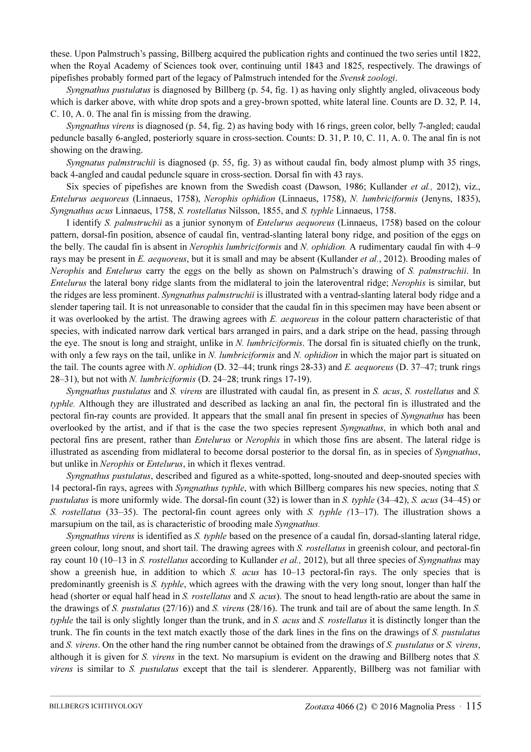these. Upon Palmstruch's passing, Billberg acquired the publication rights and continued the two series until 1822, when the Royal Academy of Sciences took over, continuing until 1843 and 1825, respectively. The drawings of pipefishes probably formed part of the legacy of Palmstruch intended for the Svensk zoologi.

Syngnathus pustulatus is diagnosed by Billberg (p. 54, fig. 1) as having only slightly angled, olivaceous body which is darker above, with white drop spots and a grey-brown spotted, white lateral line. Counts are D. 32, P. 14, C. 10, A. 0. The anal fin is missing from the drawing.

Syngnathus virens is diagnosed (p. 54, fig. 2) as having body with 16 rings, green color, belly 7-angled; caudal peduncle basally 6-angled, posteriorly square in cross-section. Counts: D. 31, P. 10, C. 11, A. 0. The anal fin is not showing on the drawing.

Syngnatus palmstruchii is diagnosed (p. 55, fig. 3) as without caudal fin, body almost plump with 35 rings, back 4-angled and caudal peduncle square in cross-section. Dorsal fin with 43 rays.

Six species of pipefishes are known from the Swedish coast (Dawson, 1986; Kullander *et al.*, 2012), viz., Entelurus aequoreus (Linnaeus, 1758), Nerophis ophidion (Linnaeus, 1758), N. lumbriciformis (Jenyns, 1835), Syngnathus acus Linnaeus, 1758, S. rostellatus Nilsson, 1855, and S. typhle Linnaeus, 1758.

I identify S. palmstruchii as a junior synonym of Entelurus aequoreus (Linnaeus, 1758) based on the colour pattern, dorsal-fin position, absence of caudal fin, ventrad-slanting lateral bony ridge, and position of the eggs on the belly. The caudal fin is absent in *Nerophis lumbriciformis* and *N. ophidion*. A rudimentary caudal fin with 4–9 rays may be present in E. aequoreus, but it is small and may be absent (Kullander et al., 2012). Brooding males of Nerophis and Entelurus carry the eggs on the belly as shown on Palmstruch's drawing of S. palmstruchii. In Entelurus the lateral bony ridge slants from the midlateral to join the lateroventral ridge; Nerophis is similar, but the ridges are less prominent. Syngnathus palmstruchii is illustrated with a ventrad-slanting lateral body ridge and a slender tapering tail. It is not unreasonable to consider that the caudal fin in this specimen may have been absent or it was overlooked by the artist. The drawing agrees with E. aequoreus in the colour pattern characteristic of that species, with indicated narrow dark vertical bars arranged in pairs, and a dark stripe on the head, passing through the eye. The snout is long and straight, unlike in N. lumbriciformis. The dorsal fin is situated chiefly on the trunk, with only a few rays on the tail, unlike in N. lumbriciformis and N. ophidion in which the major part is situated on the tail. The counts agree with N. *ophidion* (D. 32–44; trunk rings 28-33) and E. *aequoreus* (D. 37–47; trunk rings 28–31), but not with N. lumbriciformis (D. 24–28; trunk rings 17-19).

Syngnathus pustulatus and S. virens are illustrated with caudal fin, as present in S. acus, S. rostellatus and S. typhle. Although they are illustrated and described as lacking an anal fin, the pectoral fin is illustrated and the pectoral fin-ray counts are provided. It appears that the small anal fin present in species of Syngnathus has been overlooked by the artist, and if that is the case the two species represent Syngnathus, in which both anal and pectoral fins are present, rather than *Entelurus* or *Nerophis* in which those fins are absent. The lateral ridge is illustrated as ascending from midlateral to become dorsal posterior to the dorsal fin, as in species of Syngnathus, but unlike in Nerophis or Entelurus, in which it flexes ventrad.

Syngnathus pustulatus, described and figured as a white-spotted, long-snouted and deep-snouted species with 14 pectoral-fin rays, agrees with *Syngnathus typhle*, with which Billberg compares his new species, noting that S. pustulatus is more uniformly wide. The dorsal-fin count (32) is lower than in S. typhle (34–42), S. acus (34–45) or S. rostellatus (33–35). The pectoral-fin count agrees only with S. typhle  $(13-17)$ . The illustration shows a marsupium on the tail, as is characteristic of brooding male Syngnathus.

Syngnathus virens is identified as S. typhle based on the presence of a caudal fin, dorsad-slanting lateral ridge, green colour, long snout, and short tail. The drawing agrees with S. rostellatus in greenish colour, and pectoral-fin ray count 10 (10–13 in S. rostellatus according to Kullander et al., 2012), but all three species of Syngnathus may show a greenish hue, in addition to which S. acus has 10–13 pectoral-fin rays. The only species that is predominantly greenish is S. typhle, which agrees with the drawing with the very long snout, longer than half the head (shorter or equal half head in S. rostellatus and S. acus). The snout to head length-ratio are about the same in the drawings of S. pustulatus ( $27/16$ )) and S. virens ( $28/16$ ). The trunk and tail are of about the same length. In S. typhle the tail is only slightly longer than the trunk, and in S. acus and S. rostellatus it is distinctly longer than the trunk. The fin counts in the text match exactly those of the dark lines in the fins on the drawings of S. pustulatus and S. virens. On the other hand the ring number cannot be obtained from the drawings of S. pustulatus or S. virens, although it is given for S. virens in the text. No marsupium is evident on the drawing and Billberg notes that S. virens is similar to S. pustulatus except that the tail is slenderer. Apparently, Billberg was not familiar with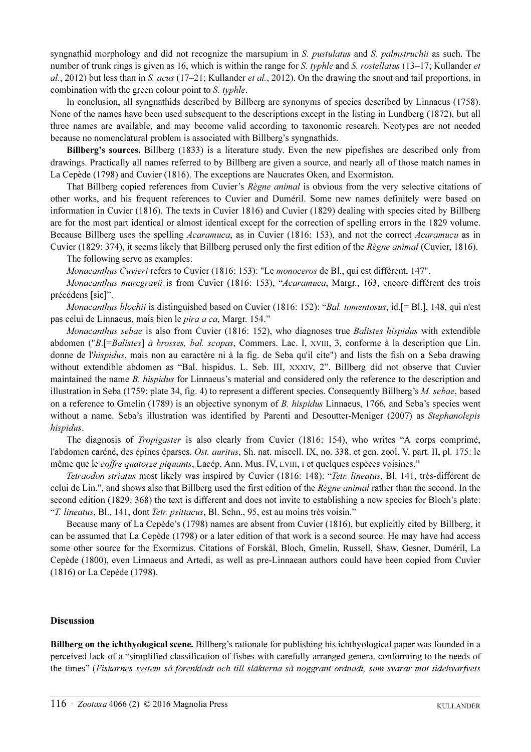syngnathid morphology and did not recognize the marsupium in S. pustulatus and S. palmstruchii as such. The number of trunk rings is given as 16, which is within the range for S. typhle and S. rostellatus  $(13-17)$ ; Kullander et al., 2012) but less than in S. acus (17–21; Kullander *et al.*, 2012). On the drawing the snout and tail proportions, in combination with the green colour point to S. typhle.

In conclusion, all syngnathids described by Billberg are synonyms of species described by Linnaeus (1758). None of the names have been used subsequent to the descriptions except in the listing in Lundberg (1872), but all three names are available, and may become valid according to taxonomic research. Neotypes are not needed because no nomenclatural problem is associated with Billberg's syngnathids.

Billberg's sources. Billberg (1833) is a literature study. Even the new pipefishes are described only from drawings. Practically all names referred to by Billberg are given a source, and nearly all of those match names in La Cepède (1798) and Cuvier (1816). The exceptions are Naucrates Oken, and Exormiston.

That Billberg copied references from Cuvier's Règne animal is obvious from the very selective citations of other works, and his frequent references to Cuvier and Duméril. Some new names definitely were based on information in Cuvier (1816). The texts in Cuvier 1816) and Cuvier (1829) dealing with species cited by Billberg are for the most part identical or almost identical except for the correction of spelling errors in the 1829 volume. Because Billberg uses the spelling Acaramuca, as in Cuvier (1816: 153), and not the correct Acaramucu as in Cuvier (1829: 374), it seems likely that Billberg perused only the first edition of the Règne animal (Cuvier, 1816).

The following serve as examples:

Monacanthus Cuvieri refers to Cuvier (1816: 153): "Le monoceros de Bl., qui est différent, 147".

Monacanthus marcgravii is from Cuvier (1816: 153), "Acaramuca, Margr., 163, encore différent des trois précédens [sic]".

Monacanthus blochii is distinguished based on Cuvier (1816: 152): "Bal. tomentosus, id.[= Bl.], 148, qui n'est pas celui de Linnaeus, mais bien le pira a ca, Margr. 154."

Monacanthus sebae is also from Cuvier (1816: 152), who diagnoses true Balistes hispidus with extendible abdomen ("B.[=Balistes] à brosses, bal. scopas, Commers. Lac. I, XVIII, 3, conforme à la description que Lin. donne de l'hispidus, mais non au caractère ni à la fig. de Seba qu'il cite") and lists the fish on a Seba drawing without extendible abdomen as "Bal. hispidus. L. Seb. III, XXXIV, 2". Billberg did not observe that Cuvier maintained the name B. hispidus for Linnaeus's material and considered only the reference to the description and illustration in Seba (1759: plate 34, fig. 4) to represent a different species. Consequently Billberg's M. sebae, based on a reference to Gmelin (1789) is an objective synonym of B. hispidus Linnaeus, 1766, and Seba's species went without a name. Seba's illustration was identified by Parenti and Desoutter-Meniger (2007) as Stephanolepis hispidus.

The diagnosis of *Tropigaster* is also clearly from Cuvier (1816: 154), who writes "A corps comprimé, l'abdomen caréné, des épines éparses. Ost. auritus, Sh. nat. miscell. IX, no. 338. et gen. zool. V, part. II, pl. 175: le même que le coffre quatorze piquants, Lacép. Ann. Mus. IV, LVIII, I et quelques espèces voisines."

Tetraodon striatus most likely was inspired by Cuvier (1816: 148): "Tetr. lineatus, Bl. 141, très-différent de celui de Lin.", and shows also that Billberg used the first edition of the Règne animal rather than the second. In the second edition (1829: 368) the text is different and does not invite to establishing a new species for Bloch's plate: "T. lineatus, Bl., 141, dont Tetr. psittacus, Bl. Schn., 95, est au moins très voisin."

Because many of La Cepède's (1798) names are absent from Cuvier (1816), but explicitly cited by Billberg, it can be assumed that La Cepède (1798) or a later edition of that work is a second source. He may have had access some other source for the Exormizus. Citations of Forskål, Bloch, Gmelin, Russell, Shaw, Gesner, Duméril, La Cepède (1800), even Linnaeus and Artedi, as well as pre-Linnaean authors could have been copied from Cuvier (1816) or La Cepède (1798).

## Discussion

Billberg on the ichthyological scene. Billberg's rationale for publishing his ichthyological paper was founded in a perceived lack of a "simplified classification of fishes with carefully arranged genera, conforming to the needs of the times" (Fiskarnes system så förenkladt och till släkterna så noggrant ordnadt, som svarar mot tidehvarfvets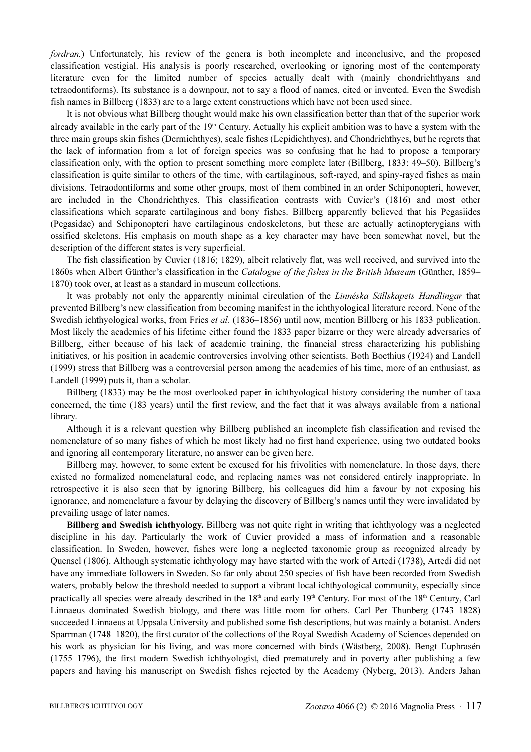fordran.) Unfortunately, his review of the genera is both incomplete and inconclusive, and the proposed classification vestigial. His analysis is poorly researched, overlooking or ignoring most of the contemporaty literature even for the limited number of species actually dealt with (mainly chondrichthyans and tetraodontiforms). Its substance is a downpour, not to say a flood of names, cited or invented. Even the Swedish fish names in Billberg (1833) are to a large extent constructions which have not been used since.

It is not obvious what Billberg thought would make his own classification better than that of the superior work already available in the early part of the  $19<sup>th</sup>$  Century. Actually his explicit ambition was to have a system with the three main groups skin fishes (Dermichthyes), scale fishes (Lepidichthyes), and Chondrichthyes, but he regrets that the lack of information from a lot of foreign species was so confusing that he had to propose a temporary classification only, with the option to present something more complete later (Billberg, 1833: 49–50). Billberg's classification is quite similar to others of the time, with cartilaginous, soft-rayed, and spiny-rayed fishes as main divisions. Tetraodontiforms and some other groups, most of them combined in an order Schiponopteri, however, are included in the Chondrichthyes. This classification contrasts with Cuvier's (1816) and most other classifications which separate cartilaginous and bony fishes. Billberg apparently believed that his Pegasiides (Pegasidae) and Schiponopteri have cartilaginous endoskeletons, but these are actually actinopterygians with ossified skeletons. His emphasis on mouth shape as a key character may have been somewhat novel, but the description of the different states is very superficial.

The fish classification by Cuvier (1816; 1829), albeit relatively flat, was well received, and survived into the 1860s when Albert Günther's classification in the Catalogue of the fishes in the British Museum (Günther, 1859– 1870) took over, at least as a standard in museum collections.

It was probably not only the apparently minimal circulation of the Linnéska Sällskapets Handlingar that prevented Billberg's new classification from becoming manifest in the ichthyological literature record. None of the Swedish ichthyological works, from Fries *et al.* (1836–1856) until now, mention Billberg or his 1833 publication. Most likely the academics of his lifetime either found the 1833 paper bizarre or they were already adversaries of Billberg, either because of his lack of academic training, the financial stress characterizing his publishing initiatives, or his position in academic controversies involving other scientists. Both Boethius (1924) and Landell (1999) stress that Billberg was a controversial person among the academics of his time, more of an enthusiast, as Landell (1999) puts it, than a scholar.

Billberg (1833) may be the most overlooked paper in ichthyological history considering the number of taxa concerned, the time (183 years) until the first review, and the fact that it was always available from a national library.

Although it is a relevant question why Billberg published an incomplete fish classification and revised the nomenclature of so many fishes of which he most likely had no first hand experience, using two outdated books and ignoring all contemporary literature, no answer can be given here.

Billberg may, however, to some extent be excused for his frivolities with nomenclature. In those days, there existed no formalized nomenclatural code, and replacing names was not considered entirely inappropriate. In retrospective it is also seen that by ignoring Billberg, his colleagues did him a favour by not exposing his ignorance, and nomenclature a favour by delaying the discovery of Billberg's names until they were invalidated by prevailing usage of later names.

Billberg and Swedish ichthyology. Billberg was not quite right in writing that ichthyology was a neglected discipline in his day. Particularly the work of Cuvier provided a mass of information and a reasonable classification. In Sweden, however, fishes were long a neglected taxonomic group as recognized already by Quensel (1806). Although systematic ichthyology may have started with the work of Artedi (1738), Artedi did not have any immediate followers in Sweden. So far only about 250 species of fish have been recorded from Swedish waters, probably below the threshold needed to support a vibrant local ichthyological community, especially since practically all species were already described in the  $18<sup>th</sup>$  and early  $19<sup>th</sup>$  Century. For most of the  $18<sup>th</sup>$  Century, Carl Linnaeus dominated Swedish biology, and there was little room for others. Carl Per Thunberg (1743–1828) succeeded Linnaeus at Uppsala University and published some fish descriptions, but was mainly a botanist. Anders Sparrman (1748–1820), the first curator of the collections of the Royal Swedish Academy of Sciences depended on his work as physician for his living, and was more concerned with birds (Wästberg, 2008). Bengt Euphrasén (1755–1796), the first modern Swedish ichthyologist, died prematurely and in poverty after publishing a few papers and having his manuscript on Swedish fishes rejected by the Academy (Nyberg, 2013). Anders Jahan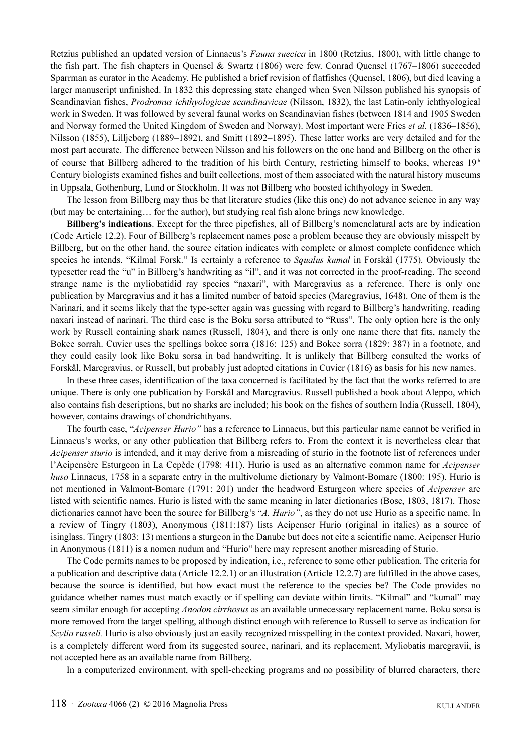Retzius published an updated version of Linnaeus's Fauna suecica in 1800 (Retzius, 1800), with little change to the fish part. The fish chapters in Quensel & Swartz (1806) were few. Conrad Quensel (1767–1806) succeeded Sparrman as curator in the Academy. He published a brief revision of flatfishes (Quensel, 1806), but died leaving a larger manuscript unfinished. In 1832 this depressing state changed when Sven Nilsson published his synopsis of Scandinavian fishes, Prodromus ichthyologicae scandinavicae (Nilsson, 1832), the last Latin-only ichthyological work in Sweden. It was followed by several faunal works on Scandinavian fishes (between 1814 and 1905 Sweden and Norway formed the United Kingdom of Sweden and Norway). Most important were Fries et al. (1836–1856), Nilsson (1855), Lilljeborg (1889–1892), and Smitt (1892–1895). These latter works are very detailed and for the most part accurate. The difference between Nilsson and his followers on the one hand and Billberg on the other is of course that Billberg adhered to the tradition of his birth Century, restricting himself to books, whereas  $19<sup>th</sup>$ Century biologists examined fishes and built collections, most of them associated with the natural history museums in Uppsala, Gothenburg, Lund or Stockholm. It was not Billberg who boosted ichthyology in Sweden.

The lesson from Billberg may thus be that literature studies (like this one) do not advance science in any way (but may be entertaining… for the author), but studying real fish alone brings new knowledge.

Billberg's indications. Except for the three pipefishes, all of Billberg's nomenclatural acts are by indication (Code Article 12.2). Four of Billberg's replacement names pose a problem because they are obviously misspelt by Billberg, but on the other hand, the source citation indicates with complete or almost complete confidence which species he intends. "Kilmal Forsk." Is certainly a reference to *Squalus kumal* in Forskål (1775). Obviously the typesetter read the "u" in Billberg's handwriting as "il", and it was not corrected in the proof-reading. The second strange name is the myliobatidid ray species "naxari", with Marcgravius as a reference. There is only one publication by Marcgravius and it has a limited number of batoid species (Marcgravius, 1648). One of them is the Narinari, and it seems likely that the type-setter again was guessing with regard to Billberg's handwriting, reading naxari instead of narinari. The third case is the Boku sorsa attributed to "Russ". The only option here is the only work by Russell containing shark names (Russell, 1804), and there is only one name there that fits, namely the Bokee sorrah. Cuvier uses the spellings bokee sorra (1816: 125) and Bokee sorra (1829: 387) in a footnote, and they could easily look like Boku sorsa in bad handwriting. It is unlikely that Billberg consulted the works of Forskål, Marcgravius, or Russell, but probably just adopted citations in Cuvier (1816) as basis for his new names.

In these three cases, identification of the taxa concerned is facilitated by the fact that the works referred to are unique. There is only one publication by Forskål and Marcgravius. Russell published a book about Aleppo, which also contains fish descriptions, but no sharks are included; his book on the fishes of southern India (Russell, 1804), however, contains drawings of chondrichthyans.

The fourth case, "Acipenser Hurio" has a reference to Linnaeus, but this particular name cannot be verified in Linnaeus's works, or any other publication that Billberg refers to. From the context it is nevertheless clear that Acipenser sturio is intended, and it may derive from a misreading of sturio in the footnote list of references under l'Acipensère Esturgeon in La Cepède (1798: 411). Hurio is used as an alternative common name for Acipenser huso Linnaeus, 1758 in a separate entry in the multivolume dictionary by Valmont-Bomare (1800: 195). Hurio is not mentioned in Valmont-Bomare (1791: 201) under the headword Esturgeon where species of Acipenser are listed with scientific names. Hurio is listed with the same meaning in later dictionaries (Bosc, 1803, 1817). Those dictionaries cannot have been the source for Billberg's "A. Hurio", as they do not use Hurio as a specific name. In a review of Tingry (1803), Anonymous (1811:187) lists Acipenser Hurio (original in italics) as a source of isinglass. Tingry (1803: 13) mentions a sturgeon in the Danube but does not cite a scientific name. Acipenser Hurio in Anonymous (1811) is a nomen nudum and "Hurio" here may represent another misreading of Sturio.

The Code permits names to be proposed by indication, i.e., reference to some other publication. The criteria for a publication and descriptive data (Article 12.2.1) or an illustration (Article 12.2.7) are fulfilled in the above cases, because the source is identified, but how exact must the reference to the species be? The Code provides no guidance whether names must match exactly or if spelling can deviate within limits. "Kilmal" and "kumal" may seem similar enough for accepting *Anodon cirrhosus* as an available unnecessary replacement name. Boku sorsa is more removed from the target spelling, although distinct enough with reference to Russell to serve as indication for Scylia russeli. Hurio is also obviously just an easily recognized misspelling in the context provided. Naxari, hower, is a completely different word from its suggested source, narinari, and its replacement, Myliobatis marcgravii, is not accepted here as an available name from Billberg.

In a computerized environment, with spell-checking programs and no possibility of blurred characters, there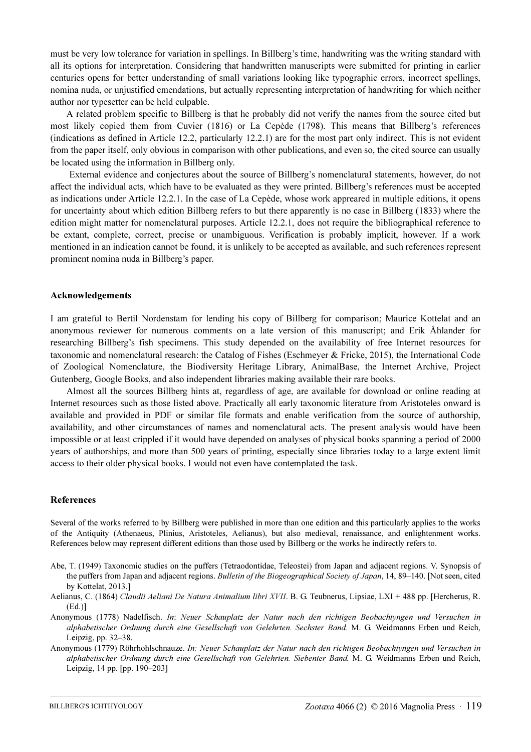must be very low tolerance for variation in spellings. In Billberg's time, handwriting was the writing standard with all its options for interpretation. Considering that handwritten manuscripts were submitted for printing in earlier centuries opens for better understanding of small variations looking like typographic errors, incorrect spellings, nomina nuda, or unjustified emendations, but actually representing interpretation of handwriting for which neither author nor typesetter can be held culpable.

A related problem specific to Billberg is that he probably did not verify the names from the source cited but most likely copied them from Cuvier (1816) or La Cepède (1798). This means that Billberg's references (indications as defined in Article 12.2, particularly 12.2.1) are for the most part only indirect. This is not evident from the paper itself, only obvious in comparison with other publications, and even so, the cited source can usually be located using the information in Billberg only.

 External evidence and conjectures about the source of Billberg's nomenclatural statements, however, do not affect the individual acts, which have to be evaluated as they were printed. Billberg's references must be accepted as indications under Article 12.2.1. In the case of La Cepède, whose work appreared in multiple editions, it opens for uncertainty about which edition Billberg refers to but there apparently is no case in Billberg (1833) where the edition might matter for nomenclatural purposes. Article 12.2.1, does not require the bibliographical reference to be extant, complete, correct, precise or unambiguous. Verification is probably implicit, however. If a work mentioned in an indication cannot be found, it is unlikely to be accepted as available, and such references represent prominent nomina nuda in Billberg's paper.

#### Acknowledgements

I am grateful to Bertil Nordenstam for lending his copy of Billberg for comparison; Maurice Kottelat and an anonymous reviewer for numerous comments on a late version of this manuscript; and Erik Åhlander for researching Billberg's fish specimens. This study depended on the availability of free Internet resources for taxonomic and nomenclatural research: the Catalog of Fishes (Eschmeyer & Fricke, 2015), the International Code of Zoological Nomenclature, the Biodiversity Heritage Library, AnimalBase, the Internet Archive, Project Gutenberg, Google Books, and also independent libraries making available their rare books.

Almost all the sources Billberg hints at, regardless of age, are available for download or online reading at Internet resources such as those listed above. Practically all early taxonomic literature from Aristoteles onward is available and provided in PDF or similar file formats and enable verification from the source of authorship, availability, and other circumstances of names and nomenclatural acts. The present analysis would have been impossible or at least crippled if it would have depended on analyses of physical books spanning a period of 2000 years of authorships, and more than 500 years of printing, especially since libraries today to a large extent limit access to their older physical books. I would not even have contemplated the task.

### References

Several of the works referred to by Billberg were published in more than one edition and this particularly applies to the works of the Antiquity (Athenaeus, Plinius, Aristoteles, Aelianus), but also medieval, renaissance, and enlightenment works. References below may represent different editions than those used by Billberg or the works he indirectly refers to.

- Abe, T. (1949) Taxonomic studies on the puffers (Tetraodontidae, Teleostei) from Japan and adjacent regions. V. Synopsis of the puffers from Japan and adjacent regions. Bulletin of the Biogeographical Society of Japan, 14, 89–140. [Not seen, cited by Kottelat, 2013.]
- Aelianus, C. (1864) Claudii Aeliani De Natura Animalium libri XVII. B. G. Teubnerus, Lipsiae, LXI + 488 pp. [Hercherus, R. (Ed.)]
- Anonymous (1778) Nadelfisch. In: Neuer Schauplatz der Natur nach den richtigen Beobachtyngen und Versuchen in alphabetischer Ordnung durch eine Gesellschaft von Gelehrten. Sechster Band. M. G. Weidmanns Erben und Reich, Leipzig, pp. 32–38.
- Anonymous (1779) Röhrhohlschnauze. In: Neuer Schauplatz der Natur nach den richtigen Beobachtyngen und Versuchen in alphabetischer Ordnung durch eine Gesellschaft von Gelehrten. Siebenter Band. M. G. Weidmanns Erben und Reich, Leipzig, 14 pp. [pp. 190–203]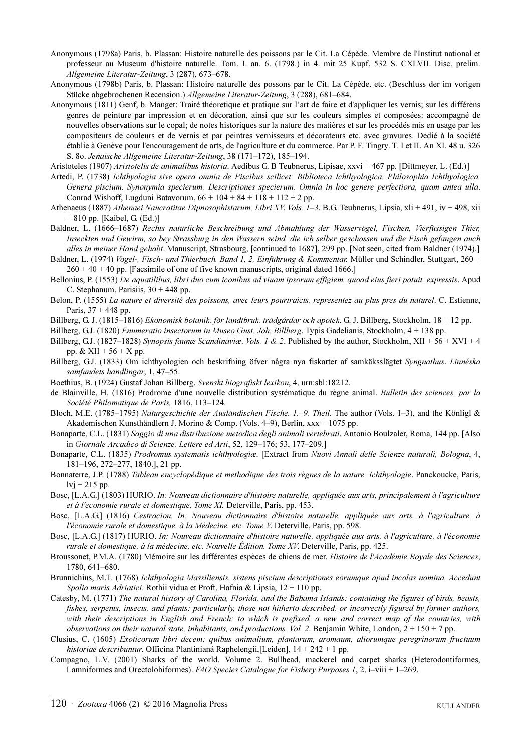- Anonymous (1798a) Paris, b. Plassan: Histoire naturelle des poissons par le Cit. La Cépède. Membre de l'Institut national et professeur au Museum d'histoire naturelle. Tom. I. an. 6. (1798.) in 4. mit 25 Kupf. 532 S. CXLVII. Disc. prelim. Allgemeine Literatur-Zeitung, 3 (287), 673–678.
- Anonymous (1798b) Paris, b. Plassan: Histoire naturelle des possons par le Cit. La Cépède. etc. (Beschluss der im vorigen Stücke abgebrochenen Recension.) Allgemeine Literatur-Zeitung, 3 (288), 681–684.
- Anonymous (1811) Genf, b. Manget: Traité théoretique et pratique sur l'art de faire et d'appliquer les vernis; sur les différens genres de peinture par impression et en décoration, ainsi que sur les couleurs simples et composées: accompagné de nouvelles observations sur le copal; de notes historiques sur la nature des matières et sur les procédés mis en usage par les compositeurs de couleurs et de vernis et par peintres vernisseurs et décorateurs etc. avec gravures. Dedié à la société établie à Genève pour l'encouragement de arts, de l'agriculture et du commerce. Par P. F. Tingry. T. I et II. An XI. 48 u. 326 S. 8o. Jenaische Allgemeine Literatur-Zeitung, 38 (171–172), 185–194.

Aristoteles (1907) Aristotelis de animalibus historia. Aedibus G. B Teubnerus, Lipisae, xxvi + 467 pp. [Dittmeyer, L. (Ed.)]

- Artedi, P. (1738) Ichthyologia sive opera omnia de Piscibus scilicet: Biblioteca Ichthyologica. Philosophia Ichthyologica. Genera piscium. Synonymia specierum. Descriptiones specierum. Omnia in hoc genere perfectiora, quam antea ulla. Conrad Wishoff, Lugduni Batavorum,  $66 + 104 + 84 + 118 + 112 + 2$  pp.
- Athenaeus (1887) Athenaei Naucratitae Dipnosophistarum, Libri XV. Vols. 1-3. B.G. Teubnerus, Lipsia, xli + 491, iv + 498, xii + 810 pp. [Kaibel, G. (Ed.)]
- Baldner, L. (1666–1687) Rechts natürliche Beschreibung und Abmahlung der Wasservögel, Fischen, Vierfüssigen Thier, Inseckten und Gewirm, so bey Strassburg in den Wassern seind, die ich selber geschossen und die Fisch gefangen auch alles in meiner Hand gehabt. Manuscript, Strasbourg, [continued to 1687], 299 pp. [Not seen, cited from Baldner (1974).]
- Baldner, L. (1974) Vogel-, Fisch- und Thierbuch. Band 1, 2, Einführung & Kommentar. Müller und Schindler, Stuttgart, 260 +  $260 + 40 + 40$  pp. [Facsimile of one of five known manuscripts, original dated 1666.]
- Bellonius, P. (1553) De aquatilibus, libri duo cum iconibus ad viuam ipsorum effigiem, quoad eius fieri potuit, expressis. Apud C. Stephanum, Parisiis,  $30 + 448$  pp.
- Belon, P. (1555) La nature et diversité des poissons, avec leurs pourtraicts, representez au plus pres du naturel. C. Estienne, Paris,  $37 + 448$  pp.
- Billberg, G. J. (1815–1816) Ekonomisk botanik, för landtbruk, trädgårdar och apotek. G. J. Billberg, Stockholm, 18 + 12 pp.

Billberg, G.J. (1820) Enumeratio insectorum in Museo Gust. Joh. Billberg. Typis Gadelianis, Stockholm, 4 + 138 pp.

- Billberg, G.J. (1827–1828) Synopsis faunæ Scandinaviæ. Vols. 1 & 2. Published by the author, Stockholm, XII + 56 + XVI + 4 pp. &  $XII + 56 + X$  pp.
- Billberg, G.J. (1833) Om ichthyologien och beskrifning öfver några nya fiskarter af samkäksslägtet Syngnathus. Linnéska samfundets handlingar, 1, 47–55.
- Boethius, B. (1924) Gustaf Johan Billberg. Svenskt biografiskt lexikon, 4, urn:sbl:18212.
- de Blainville, H. (1816) Prodrome d'une nouvelle distribution systématique du règne animal. Bulletin des sciences, par la Société Philomatique de Paris, 1816, 113–124.
- Bloch, M.E. (1785–1795) Naturgeschichte der Ausländischen Fische. 1.–9. Theil. The author (Vols. 1–3), and the Könligl & Akademischen Kunsthändlern J. Morino & Comp. (Vols. 4–9), Berlin, xxx + 1075 pp.
- Bonaparte, C.L. (1831) Saggio di una distribuzione metodica degli animali vertebrati. Antonio Boulzaler, Roma, 144 pp. [Also in Giornale Arcadico di Scienze, Lettere ed Arti, 52, 129–176; 53, 177–209.]
- Bonaparte, C.L. (1835) Prodromus systematis ichthyologiæ. [Extract from Nuovi Annali delle Scienze naturali, Bologna, 4, 181–196, 272–277, 1840.], 21 pp.
- Bonnaterre, J.P. (1788) Tableau encyclopédique et methodique des trois règnes de la nature. Ichthyologie. Panckoucke, Paris,  $l$ vj + 215 pp.
- Bosc, [L.A.G.] (1803) HURIO. In: Nouveau dictionnaire d'histoire naturelle, appliquée aux arts, principalement à l'agriculture et à l'economie rurale et domestique, Tome XI. Deterville, Paris, pp. 453.
- Bosc, [L.A.G.] (1816) Cestracion. In: Nouveau dictionnaire d'histoire naturelle, appliquée aux arts, à l'agriculture, à l'économie rurale et domestique, à la Médecine, etc. Tome V. Deterville, Paris, pp. 598.
- Bosc, [L.A.G.] (1817) HURIO. In: Nouveau dictionnaire d'histoire naturelle, appliquée aux arts, à l'agriculture, à l'économie rurale et domestique, à la médecine, etc. Nouvelle Édition. Tome XV. Deterville, Paris, pp. 425.
- Broussonet, P.M.A. (1780) Mémoire sur les différentes espèces de chiens de mer. Histoire de l'Académie Royale des Sciences, 1780, 641–680.
- Brunnichius, M.T. (1768) Ichthyologia Massiliensis, sistens piscium descriptiones eorumque apud incolas nomina. Accedunt Spolia maris Adriatici. Rothii vidua et Proft, Hafnia & Lipsia, 12 + 110 pp.
- Catesby, M. (1771) The natural history of Carolina, Florida, and the Bahama Islands: containing the figures of birds, beasts, fishes, serpents, insects, and plants: particularly, those not hitherto described, or incorrectly figured by former authors, with their descriptions in English and French: to which is prefixed, a new and correct map of the countries, with observations on their natural state, inhabitants, and productions. Vol. 2. Benjamin White, London,  $2 + 150 + 7$  pp.
- Clusius, C. (1605) Exoticorum libri decem: quibus animalium, plantarum, aromaum, aliorumque peregrinorum fructuum historiae describuntur. Officina Plantinianá Raphelengii, [Leiden], 14 + 242 + 1 pp.
- Compagno, L.V. (2001) Sharks of the world. Volume 2. Bullhead, mackerel and carpet sharks (Heterodontiformes, Lamniformes and Orectolobiformes). FAO Species Catalogue for Fishery Purposes 1, 2, i–viii + 1–269.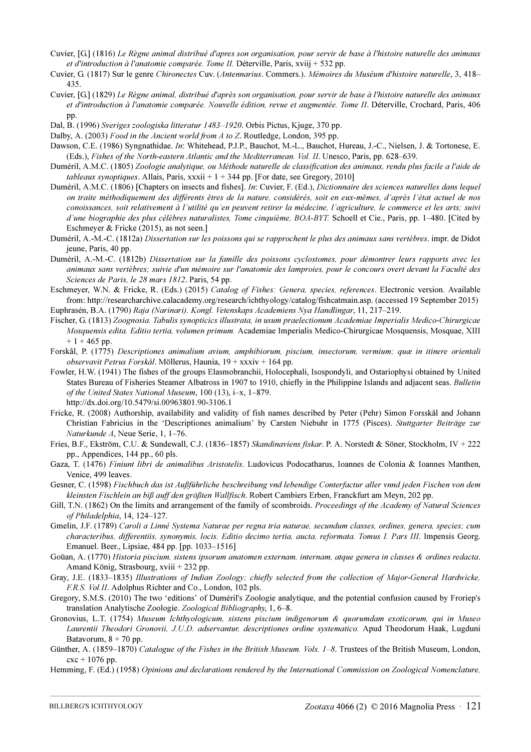- Cuvier, [G.] (1816) Le Règne animal distribué d'apres son organisation, pour servir de base à l'histoire naturelle des animaux et d'introduction à l'anatomie comparée. Tome II. Déterville, Paris, xviij + 532 pp.
- Cuvier, G. (1817) Sur le genre Chironectes Cuv. (Antennarius. Commers.). Mémoires du Muséum d'histoire naturelle, 3, 418– 435.
- Cuvier, [G.] (1829) Le Règne animal, distribué d'après son organisation, pour servir de base à l'histoire naturelle des animaux et d'introduction à l'anatomie comparée. Nouvelle édition, revue et augmentée. Tome II. Déterville, Crochard, Paris, 406 pp.
- Dal, B. (1996) Sveriges zoologiska litteratur 1483–1920. Orbis Pictus, Kjuge, 370 pp.
- Dalby, A. (2003) *Food in the Ancient world from A to Z.* Routledge, London, 395 pp.
- Dawson, C.E. (1986) Syngnathidae. In: Whitehead, P.J.P., Bauchot, M.-L., Bauchot, Hureau, J.-C., Nielsen, J. & Tortonese, E. (Eds.), Fishes of the North-eastern Atlantic and the Mediterranean. Vol. II. Unesco, Paris, pp. 628–639.
- Duméril, A.M.C. (1805) Zoologie analytique, ou Méthode naturelle de classification des animaux, rendu plus facile a l'aide de tableaux synoptiques. Allais, Paris, xxxii +  $1 + 344$  pp. [For date, see Gregory, 2010]
- Duméril, A.M.C. (1806) [Chapters on insects and fishes]. In: Cuvier, F. (Ed.), Dictionnaire des sciences naturelles dans lequel on traite méthodiquement des différents êtres de la nature, considérés, soit en eux-mêmes, d'après l'état actuel de nos conoissances, soit relativement à l'utilité qu'en peuvent retirer la médecine, l'agriculture, le commerce et les arts; suivi d'une biographie des plus célèbres naturalistes, Tome cinquième, BOA-BYT. Schoell et Cie., Paris, pp. 1–480. [Cited by Eschmeyer & Fricke (2015), as not seen.]
- Duméril, A.-M.-C. (1812a) Dissertation sur les poissons qui se rapprochent le plus des animaux sans vertèbres. impr. de Didot jeune, Paris, 40 pp.
- Duméril, A.-M.-C. (1812b) Dissertation sur la famille des poissons cyclostomes, pour démontrer leurs rapports avec les animaux sans vertèbres; suivie d'un mémoire sur l'anatomie des lamproies, pour le concours overt devant la Faculté des Sciences de Paris, le 28 mars 1812. Paris, 54 pp.
- Eschmeyer, W.N. & Fricke, R. (Eds.) (2015) Catalog of Fishes: Genera, species, references. Electronic version. Available from: http://researcharchive.calacademy.org/research/ichthyology/catalog/fishcatmain.asp. (accessed 19 September 2015) Euphrasén, B.A. (1790) Raja (Narinari). Kongl. Vetenskaps Academiens Nya Handlingar, 11, 217–219.
- 
- Fischer, G. (1813) Zoognosia. Tabulis synopticics illustrata, in usum praelectionum Academiae Imperialis Medico-Chirurgicae Mosquensis edita. Editio tertia, volumen primum. Academiae Imperialis Medico-Chirurgicae Mosquensis, Mosquae, XIII  $+ 1 + 465$  pp.
- Forskål, P. (1775) Descriptiones animalium avium, amphibiorum, piscium, insectorum, vermium; quæ in itinere orientali observavit Petrus Forskål. Möllerus, Haunia, 19 + xxxiv + 164 pp.
- Fowler, H.W. (1941) The fishes of the groups Elasmobranchii, Holocephali, Isospondyli, and Ostariophysi obtained by United States Bureau of Fisheries Steamer Albatross in 1907 to 1910, chiefly in the Philippine Islands and adjacent seas. Bulletin of the United States National Museum, 100 (13), i–x, 1–879. http://dx.doi.org/10.5479/si.00963801.90-3106.1
- Fricke, R. (2008) Authorship, availability and validity of fish names described by Peter (Pehr) Simon Forsskål and Johann Christian Fabricius in the 'Descriptiones animalium' by Carsten Niebuhr in 1775 (Pisces). Stuttgarter Beiträge zur Naturkunde A, Neue Serie, 1, 1–76.
- Fries, B.F., Ekström, C.U. & Sundewall, C.J. (1836–1857) Skandinaviens fiskar. P. A. Norstedt & Söner, Stockholm, IV + 222 pp., Appendices, 144 pp., 60 pls.
- Gaza, T. (1476) Finiunt libri de animalibus Aristotelis. Ludovicus Podocatharus, Ioannes de Colonia & Ioannes Manthen, Venice, 499 leaves.
- Gesner, C. (1598) Fischbuch das ist Außführliche beschreibung vnd lebendige Conterfactur aller vnnd jeden Fischen von dem kleinsten Fischlein an biß auff den größten Wallfisch. Robert Cambiers Erben, Franckfurt am Meyn, 202 pp.
- Gill, T.N. (1862) On the limits and arrangement of the family of scombroids. Proceedings of the Academy of Natural Sciences of Philadelphia, 14, 124–127.
- Gmelin, J.F. (1789) Caroli a Linné Systema Naturae per regna tria naturae, secundum classes, ordines, genera, species; cum characteribus, differentiis, synonymis, locis. Editio decimo tertia, aucta, reformata. Tomus I. Pars III. Impensis Georg. Emanuel. Beer., Lipsiae, 484 pp. [pp. 1033–1516]
- Goüan, A. (1770) Historia piscium, sistens ipsorum anatomen externam, internam, atque genera in classes & ordines redacta. Amand König, Strasbourg, xviii + 232 pp.
- Gray, J.E. (1833–1835) Illustrations of Indian Zoology; chiefly selected from the collection of Major-General Hardwicke, F.R.S. Vol.II. Adolphus Richter and Co., London, 102 pls.
- Gregory, S.M.S. (2010) The two 'editions' of Duméril's Zoologie analytique, and the potential confusion caused by Froriep's translation Analytische Zoologie. Zoological Bibliography, 1, 6–8.
- Gronovius, L.T. (1754) Museum Ichthyologicum, sistens piscium indigenorum & quorumdam exoticorum, qui in Museo Laurentii Theodori Gronovii, J.U.D. adservantur, descriptiones ordine systematico. Apud Theodorum Haak, Lugduni Batavorum,  $8 + 70$  pp.
- Günther, A. (1859–1870) Catalogue of the Fishes in the British Museum. Vols. 1-8. Trustees of the British Museum, London,  $cx + 1076$  pp.
- Hemming, F. (Ed.) (1958) Opinions and declarations rendered by the International Commission on Zoological Nomenclature,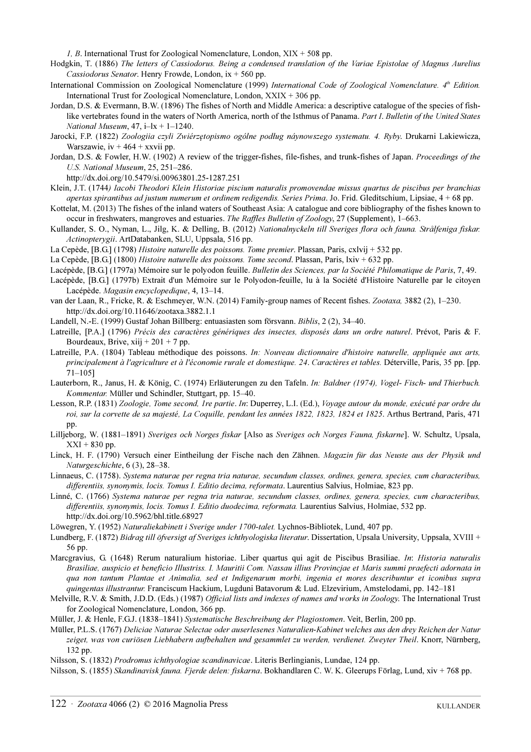*1, B.* International Trust for Zoological Nomenclature, London,  $XIX + 508$  pp.

- Hodgkin, T. (1886) The letters of Cassiodorus. Being a condensed translation of the Variae Epistolae of Magnus Aurelius Cassiodorus Senator. Henry Frowde, London,  $ix + 560$  pp.
- International Commission on Zoological Nomenclature (1999) International Code of Zoological Nomenclature. 4<sup>th</sup> Edition. International Trust for Zoological Nomenclature, London,  $XXIX + 306$  pp.
- Jordan, D.S. & Evermann, B.W. (1896) The fishes of North and Middle America: a descriptive catalogue of the species of fishlike vertebrates found in the waters of North America, north of the Isthmus of Panama. Part I. Bulletin of the United States National Museum,  $47$ ,  $i$ -l $x$  + 1-1240.
- Jarocki, F.P. (1822) Zoologiia czyli Zwiérzętopismo ogólne podług náynowszego systematu. 4. Ryby. Drukarni Lakiewicza, Warszawie,  $iv + 464 + xxvii$  pp.
- Jordan, D.S. & Fowler, H.W. (1902) A review of the trigger-fishes, file-fishes, and trunk-fishes of Japan. Proceedings of the U.S. National Museum, 25, 251–286.

http://dx.doi.org/10.5479/si.00963801.25-1287.251

- Klein, J.T. (1744) Iacobi Theodori Klein Historiae piscium naturalis promovendae missus quartus de piscibus per branchias apertas spirantibus ad justum numerum et ordinem redigendis. Series Prima. Jo. Frid. Gleditschium, Lipsiae,  $4 + 68$  pp.
- Kottelat, M. (2013) The fishes of the inland waters of Southeast Asia: A catalogue and core bibliography of the fishes known to occur in freshwaters, mangroves and estuaries. The Raffles Bulletin of Zoology, 27 (Supplement), 1–663.
- Kullander, S. O., Nyman, L., Jilg, K. & Delling, B. (2012) Nationalnyckeln till Sveriges flora och fauna. Strålfeniga fiskar. Actinopterygii. ArtDatabanken, SLU, Uppsala, 516 pp.
- La Cepède, [B.G.] (1798) Histoire naturelle des poissons. Tome premier. Plassan, Paris, cxlvij + 532 pp.

La Cepède, [B.G.] (1800) Histoire naturelle des poissons. Tome second. Plassan, Paris, lxiv + 632 pp.

- Lacépède, [B.G.] (1797a) Mémoire sur le polyodon feuille. Bulletin des Sciences, par la Société Philomatique de Paris, 7, 49.
- Lacépède, [B.G.] (1797b) Extrait d'un Mémoire sur le Polyodon-feuille, lu à la Société d'Histoire Naturelle par le citoyen Lacépède. Magasin encyclopedique, 4, 13–14.
- van der Laan, R., Fricke, R. & Eschmeyer, W.N. (2014) Family-group names of Recent fishes. Zootaxa, 3882 (2), 1–230. http://dx.doi.org/10.11646/zootaxa.3882.1.1
- Landell, N.-E. (1999) Gustaf Johan Billberg: entuasiasten som försvann. Biblis, 2 (2), 34–40.
- Latreille, [P.A.] (1796) Précis des caractères génériques des insectes, disposés dans un ordre naturel. Prévot, Paris & F. Bourdeaux, Brive, xiij +  $201 + 7$  pp.
- Latreille, P.A. (1804) Tableau méthodique des poissons. In: Nouveau dictionnaire d'histoire naturelle, appliquée aux arts, principalement à l'agriculture et à l'économie rurale et domestique. 24. Caractères et tables. Déterville, Paris, 35 pp. [pp. 71–105]
- Lauterborn, R., Janus, H. & König, C. (1974) Erläuterungen zu den Tafeln. In: Baldner (1974), Vogel- Fisch- und Thierbuch. Kommentar. Müller und Schindler, Stuttgart, pp. 15–40.
- Lesson, R.P. (1831) Zoologie, Tome second, 1re partie. In: Duperrey, L.I. (Ed.), Voyage autour du monde, exécuté par ordre du roi, sur la corvette de sa majesté, La Coquille, pendant les années 1822, 1823, 1824 et 1825. Arthus Bertrand, Paris, 471 pp.
- Lilljeborg, W. (1881–1891) Sveriges och Norges fiskar [Also as Sveriges och Norges Fauna, fiskarne]. W. Schultz, Upsala,  $XXI + 830$  pp.
- Linck, H. F. (1790) Versuch einer Eintheilung der Fische nach den Zähnen. Magazin für das Neuste aus der Physik und Naturgeschichte, 6 (3), 28–38.
- Linnaeus, C. (1758). Systema naturae per regna tria naturae, secundum classes, ordines, genera, species, cum characteribus, differentiis, synonymis, locis. Tomus I. Editio decima, reformata. Laurentius Salvius, Holmiae, 823 pp.
- Linné, C. (1766) Systema naturae per regna tria naturae, secundum classes, ordines, genera, species, cum characteribus, differentiis, synonymis, locis. Tomus I. Editio duodecima, reformata. Laurentius Salvius, Holmiae, 532 pp. http://dx.doi.org/10.5962/bhl.title.68927
- Löwegren, Y. (1952) Naturaliekabinett i Sverige under 1700-talet. Lychnos-Bibliotek, Lund, 407 pp.
- Lundberg, F. (1872) Bidrag till öfversigt af Sveriges ichthyologiska literatur. Dissertation, Upsala University, Uppsala, XVIII + 56 pp.
- Marcgravius, G. (1648) Rerum naturalium historiae. Liber quartus qui agit de Piscibus Brasiliae. In: Historia naturalis Brasiliae, auspicio et beneficio Illustriss. I. Mauritii Com. Nassau illius Provincjae et Maris summi praefecti adornata in qua non tantum Plantae et Animalia, sed et Indigenarum morbi, ingenia et mores describuntur et iconibus supra quingentas illustrantur. Franciscum Hackium, Lugduni Batavorum & Lud. Elzevirium, Amstelodami, pp. 142–181
- Melville, R.V. & Smith, J.D.D. (Eds.) (1987) Official lists and indexes of names and works in Zoology. The International Trust for Zoological Nomenclature, London, 366 pp.
- Müller, J. & Henle, F.G.J. (1838–1841) Systematische Beschreibung der Plagiostomen. Veit, Berlin, 200 pp.
- Müller, P.L.S. (1767) Deliciae Naturae Selectae oder auserlesenes Naturalien-Kabinet welches aus den drey Reichen der Natur zeiget, was von curiösen Liebhabern aufbehalten und gesammlet zu werden, verdienet. Zweyter Theil. Knorr, Nürnberg, 132 pp.

Nilsson, S. (1832) Prodromus ichthyologiae scandinavicae. Literis Berlingianis, Lundae, 124 pp.

Nilsson, S. (1855) Skandinavisk fauna. Fjerde delen: fiskarna. Bokhandlaren C. W. K. Gleerups Förlag, Lund, xiv + 768 pp.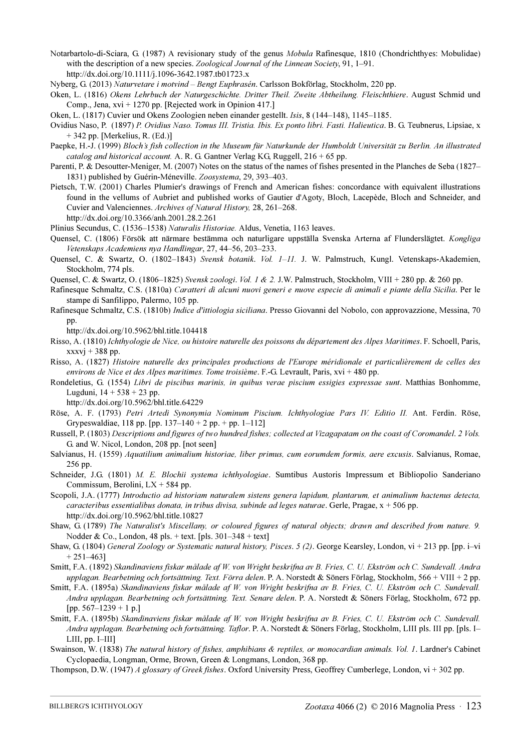- Notarbartolo-di-Sciara, G. (1987) A revisionary study of the genus Mobula Rafinesque, 1810 (Chondrichthyes: Mobulidae) with the description of a new species. Zoological Journal of the Linnean Society, 91, 1–91. http://dx.doi.org/10.1111/j.1096-3642.1987.tb01723.x
- Nyberg, G. (2013) Naturvetare i motvind Bengt Euphrasén. Carlsson Bokförlag, Stockholm, 220 pp.
- Oken, L. (1816) Okens Lehrbuch der Naturgeschichte. Dritter Theil. Zweite Abtheilung. Fleischthiere. August Schmid und Comp., Jena,  $xvi + 1270$  pp. [Rejected work in Opinion 417.]
- Oken, L. (1817) Cuvier und Okens Zoologien neben einander gestellt. Isis, 8 (144–148), 1145–1185.
- Ovidius Naso, P. (1897) P. Ovidius Naso. Tomus III. Tristia. Ibis. Ex ponto libri. Fasti. Halieutica. B. G. Teubnerus, Lipsiae, x + 342 pp. [Merkelius, R. (Ed.)]
- Paepke, H.-J. (1999) Bloch's fish collection in the Museum für Naturkunde der Humboldt Universität zu Berlin. An illustrated catalog and historical account. A. R. G. Gantner Verlag KG, Ruggell,  $216 + 65$  pp.
- Parenti, P. & Desoutter-Meniger, M. (2007) Notes on the status of the names of fishes presented in the Planches de Seba (1827– 1831) published by Guérin-Méneville. Zoosystema, 29, 393–403.
- Pietsch, T.W. (2001) Charles Plumier's drawings of French and American fishes: concordance with equivalent illustrations found in the vellums of Aubriet and published works of Gautier d'Agoty, Bloch, Lacepède, Bloch and Schneider, and Cuvier and Valenciennes. Archives of Natural History, 28, 261–268.

http://dx.doi.org/10.3366/anh.2001.28.2.261

- Plinius Secundus, C. (1536–1538) Naturalis Historiae. Aldus, Venetia, 1163 leaves.
- Quensel, C. (1806) Försök att närmare bestämma och naturligare uppställa Svenska Arterna af Flunderslägtet. Kongliga Vetenskaps Academiens nya Handlingar, 27, 44–56, 203–233.
- Quensel, C. & Swartz, O. (1802-1843) Svensk botanik. Vol. 1-11. J. W. Palmstruch, Kungl. Vetenskaps-Akademien, Stockholm, 774 pls.
- Quensel, C. & Swartz, O. (1806–1825) Svensk zoologi. Vol. 1 & 2. J.W. Palmstruch, Stockholm, VIII + 280 pp. & 260 pp.
- Rafinesque Schmaltz, C.S. (1810a) Caratteri di alcuni nuovi generi e nuove especie di animali e piante della Sicilia. Per le stampe di Sanfilippo, Palermo, 105 pp.
- Rafinesque Schmaltz, C.S. (1810b) Indice d'ittiologia siciliana. Presso Giovanni del Nobolo, con approvazzione, Messina, 70 pp.
	- http://dx.doi.org/10.5962/bhl.title.104418
- Risso, A. (1810) Ichthyologie de Nice, ou histoire naturelle des poissons du département des Alpes Maritimes. F. Schoell, Paris,  $xxxvi + 388$  pp.
- Risso, A. (1827) Histoire naturelle des principales productions de l'Europe méridionale et particulièrement de celles des environs de Nice et des Alpes maritimes. Tome troisième. F.-G. Levrault, Paris, xvi + 480 pp.
- Rondeletius, G. (1554) Libri de piscibus marinis, in quibus verae piscium essigies expressae sunt. Matthias Bonhomme, Lugduni,  $14 + 538 + 23$  pp.

http://dx.doi.org/10.5962/bhl.title.64229

- Röse, A. F. (1793) Petri Artedi Synonymia Nominum Piscium. Ichthyologiae Pars IV. Editio II. Ant. Ferdin. Röse, Grypeswaldiae, 118 pp. [pp.  $137-140 + 2$  pp.  $+$  pp.  $1-112$ ]
- Russell, P. (1803) Descriptions and figures of two hundred fishes; collected at Vizagapatam on the coast of Coromandel. 2 Vols. G. and W. Nicol, London, 208 pp. [not seen]
- Salvianus, H. (1559) Aquatilium animalium historiae, liber primus, cum eorumdem formis, aere excusis. Salvianus, Romae, 256 pp.
- Schneider, J.G. (1801) M. E. Blochii systema ichthyologiae. Sumtibus Austoris Impressum et Bibliopolio Sanderiano Commissum, Berolini, LX + 584 pp.
- Scopoli, J.A. (1777) Introductio ad historiam naturalem sistens genera lapidum, plantarum, et animalium hactenus detecta, caracteribus essentialibus donata, in tribus divisa, subinde ad leges naturae. Gerle, Pragae,  $x + 506$  pp. http://dx.doi.org/10.5962/bhl.title.10827
- Shaw, G. (1789) The Naturalist's Miscellany, or coloured figures of natural objects; drawn and described from nature. 9. Nodder & Co., London, 48 pls. + text. [pls.  $301-348 + \text{text}$ ]
- Shaw, G. (1804) General Zoology or Systematic natural history, Pisces. 5 (2). George Kearsley, London, vi + 213 pp. [pp. i–vi  $+ 251 - 4631$
- Smitt, F.A. (1892) Skandinaviens fiskar målade af W. von Wright beskrifna av B. Fries, C. U. Ekström och C. Sundevall. Andra upplagan. Bearbetning och fortsättning. Text. Förra delen. P. A. Norstedt & Söners Förlag, Stockholm, 566 + VIII + 2 pp.
- Smitt, F.A. (1895a) Skandinaviens fiskar målade af W. von Wright beskrifna av B. Fries, C. U. Ekström och C. Sundevall. Andra upplagan. Bearbetning och fortsättning. Text. Senare delen. P. A. Norstedt & Söners Förlag, Stockholm, 672 pp. [pp. 567–1239 + 1 p.]
- Smitt, F.A. (1895b) Skandinaviens fiskar målade af W. von Wright beskrifna av B. Fries, C. U. Ekström och C. Sundevall. Andra upplagan. Bearbetning och fortsättning. Taflor. P. A. Norstedt & Söners Förlag, Stockholm, LIII pls. III pp. [pls. I– LIII, pp. I–III]
- Swainson, W. (1838) The natural history of fishes, amphibians & reptiles, or monocardian animals. Vol. 1. Lardner's Cabinet Cyclopaedia, Longman, Orme, Brown, Green & Longmans, London, 368 pp.
- Thompson, D.W. (1947) A glossary of Greek fishes. Oxford University Press, Geoffrey Cumberlege, London, vi + 302 pp.